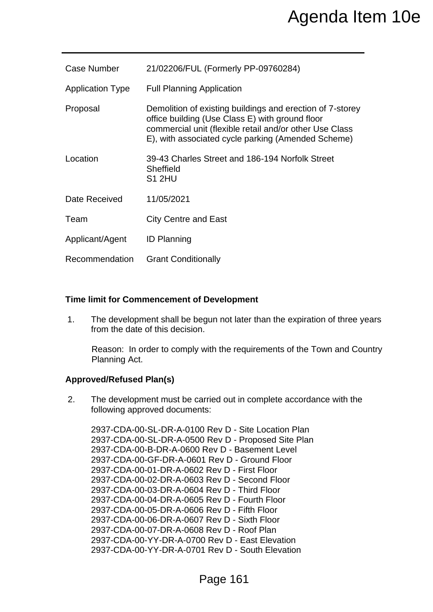|                                 | Agenda Item 10e                                                                                                                                                                                                                                                                                                                                                                                                                                                                                                                                                                                                                                                      |
|---------------------------------|----------------------------------------------------------------------------------------------------------------------------------------------------------------------------------------------------------------------------------------------------------------------------------------------------------------------------------------------------------------------------------------------------------------------------------------------------------------------------------------------------------------------------------------------------------------------------------------------------------------------------------------------------------------------|
| <b>Case Number</b>              | 21/02206/FUL (Formerly PP-09760284)                                                                                                                                                                                                                                                                                                                                                                                                                                                                                                                                                                                                                                  |
| <b>Application Type</b>         | <b>Full Planning Application</b>                                                                                                                                                                                                                                                                                                                                                                                                                                                                                                                                                                                                                                     |
| Proposal                        | Demolition of existing buildings and erection of 7-storey<br>office building (Use Class E) with ground floor<br>commercial unit (flexible retail and/or other Use Class<br>E), with associated cycle parking (Amended Scheme)                                                                                                                                                                                                                                                                                                                                                                                                                                        |
| Location                        | 39-43 Charles Street and 186-194 Norfolk Street<br><b>Sheffield</b><br><b>S1 2HU</b>                                                                                                                                                                                                                                                                                                                                                                                                                                                                                                                                                                                 |
| Date Received                   | 11/05/2021                                                                                                                                                                                                                                                                                                                                                                                                                                                                                                                                                                                                                                                           |
| Team                            | <b>City Centre and East</b>                                                                                                                                                                                                                                                                                                                                                                                                                                                                                                                                                                                                                                          |
| Applicant/Agent                 | <b>ID Planning</b>                                                                                                                                                                                                                                                                                                                                                                                                                                                                                                                                                                                                                                                   |
| Recommendation                  | <b>Grant Conditionally</b>                                                                                                                                                                                                                                                                                                                                                                                                                                                                                                                                                                                                                                           |
| 1.                              | <b>Time limit for Commencement of Development</b><br>The development shall be begun not later than the expiration of three years<br>from the date of this decision.                                                                                                                                                                                                                                                                                                                                                                                                                                                                                                  |
| Planning Act.                   | Reason: In order to comply with the requirements of the Town and Country                                                                                                                                                                                                                                                                                                                                                                                                                                                                                                                                                                                             |
| <b>Approved/Refused Plan(s)</b> |                                                                                                                                                                                                                                                                                                                                                                                                                                                                                                                                                                                                                                                                      |
| 2.                              | The development must be carried out in complete accordance with the<br>following approved documents:                                                                                                                                                                                                                                                                                                                                                                                                                                                                                                                                                                 |
|                                 | 2937-CDA-00-SL-DR-A-0100 Rev D - Site Location Plan<br>2937-CDA-00-SL-DR-A-0500 Rev D - Proposed Site Plan<br>2937-CDA-00-B-DR-A-0600 Rev D - Basement Level<br>2937-CDA-00-GF-DR-A-0601 Rev D - Ground Floor<br>2937-CDA-00-01-DR-A-0602 Rev D - First Floor<br>2937-CDA-00-02-DR-A-0603 Rev D - Second Floor<br>2937-CDA-00-03-DR-A-0604 Rev D - Third Floor<br>2937-CDA-00-04-DR-A-0605 Rev D - Fourth Floor<br>2937-CDA-00-05-DR-A-0606 Rev D - Fifth Floor<br>2937-CDA-00-06-DR-A-0607 Rev D - Sixth Floor<br>2937-CDA-00-07-DR-A-0608 Rev D - Roof Plan<br>2937-CDA-00-YY-DR-A-0700 Rev D - East Elevation<br>2937-CDA-00-YY-DR-A-0701 Rev D - South Elevation |
|                                 | Page 161                                                                                                                                                                                                                                                                                                                                                                                                                                                                                                                                                                                                                                                             |

#### **Time limit for Commencement of Development**

#### **Approved/Refused Plan(s)**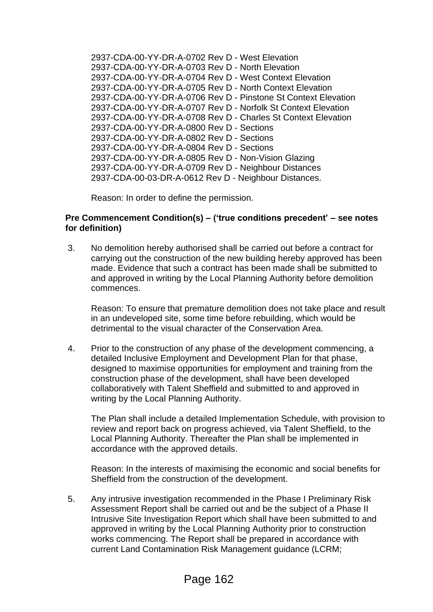2937-CDA-00-YY-DR-A-0702 Rev D - West Elevation 2937-CDA-00-YY-DR-A-0703 Rev D - North Elevation 2937-CDA-00-YY-DR-A-0704 Rev D - West Context Elevation 2937-CDA-00-YY-DR-A-0705 Rev D - North Context Elevation 2937-CDA-00-YY-DR-A-0706 Rev D - Pinstone St Context Elevation 2937-CDA-00-YY-DR-A-0707 Rev D - Norfolk St Context Elevation 2937-CDA-00-YY-DR-A-0708 Rev D - Charles St Context Elevation 2937-CDA-00-YY-DR-A-0800 Rev D - Sections 2937-CDA-00-YY-DR-A-0802 Rev D - Sections 2937-CDA-00-YY-DR-A-0804 Rev D - Sections 2937-CDA-00-YY-DR-A-0805 Rev D - Non-Vision Glazing 2937-CDA-00-YY-DR-A-0709 Rev D - Neighbour Distances 2937-CDA-00-03-DR-A-0612 Rev D - Neighbour Distances.

Reason: In order to define the permission.

#### **Pre Commencement Condition(s) – ('true conditions precedent' – see notes for definition)**

3. No demolition hereby authorised shall be carried out before a contract for carrying out the construction of the new building hereby approved has been made. Evidence that such a contract has been made shall be submitted to and approved in writing by the Local Planning Authority before demolition commences.

Reason: To ensure that premature demolition does not take place and result in an undeveloped site, some time before rebuilding, which would be detrimental to the visual character of the Conservation Area.

4. Prior to the construction of any phase of the development commencing, a detailed Inclusive Employment and Development Plan for that phase, designed to maximise opportunities for employment and training from the construction phase of the development, shall have been developed collaboratively with Talent Sheffield and submitted to and approved in writing by the Local Planning Authority.

The Plan shall include a detailed Implementation Schedule, with provision to review and report back on progress achieved, via Talent Sheffield, to the Local Planning Authority. Thereafter the Plan shall be implemented in accordance with the approved details.

Reason: In the interests of maximising the economic and social benefits for Sheffield from the construction of the development.

5. Any intrusive investigation recommended in the Phase I Preliminary Risk Assessment Report shall be carried out and be the subject of a Phase II Intrusive Site Investigation Report which shall have been submitted to and approved in writing by the Local Planning Authority prior to construction works commencing. The Report shall be prepared in accordance with current Land Contamination Risk Management guidance (LCRM;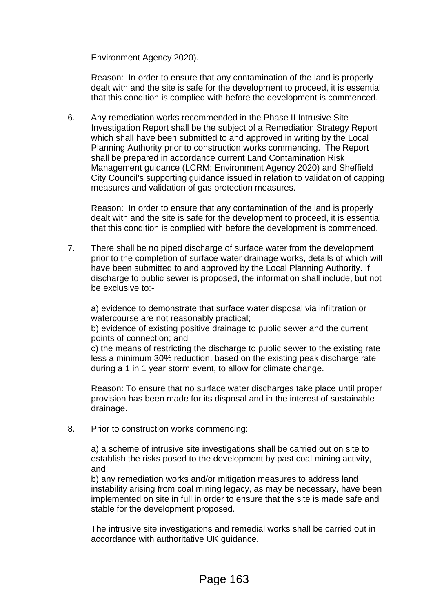Environment Agency 2020).

Reason: In order to ensure that any contamination of the land is properly dealt with and the site is safe for the development to proceed, it is essential that this condition is complied with before the development is commenced.

6. Any remediation works recommended in the Phase II Intrusive Site Investigation Report shall be the subject of a Remediation Strategy Report which shall have been submitted to and approved in writing by the Local Planning Authority prior to construction works commencing. The Report shall be prepared in accordance current Land Contamination Risk Management guidance (LCRM; Environment Agency 2020) and Sheffield City Council's supporting guidance issued in relation to validation of capping measures and validation of gas protection measures.

Reason: In order to ensure that any contamination of the land is properly dealt with and the site is safe for the development to proceed, it is essential that this condition is complied with before the development is commenced.

7. There shall be no piped discharge of surface water from the development prior to the completion of surface water drainage works, details of which will have been submitted to and approved by the Local Planning Authority. If discharge to public sewer is proposed, the information shall include, but not be exclusive to:-

a) evidence to demonstrate that surface water disposal via infiltration or watercourse are not reasonably practical;

b) evidence of existing positive drainage to public sewer and the current points of connection; and

c) the means of restricting the discharge to public sewer to the existing rate less a minimum 30% reduction, based on the existing peak discharge rate during a 1 in 1 year storm event, to allow for climate change.

Reason: To ensure that no surface water discharges take place until proper provision has been made for its disposal and in the interest of sustainable drainage.

8. Prior to construction works commencing:

a) a scheme of intrusive site investigations shall be carried out on site to establish the risks posed to the development by past coal mining activity, and;

b) any remediation works and/or mitigation measures to address land instability arising from coal mining legacy, as may be necessary, have been implemented on site in full in order to ensure that the site is made safe and stable for the development proposed.

The intrusive site investigations and remedial works shall be carried out in accordance with authoritative UK guidance.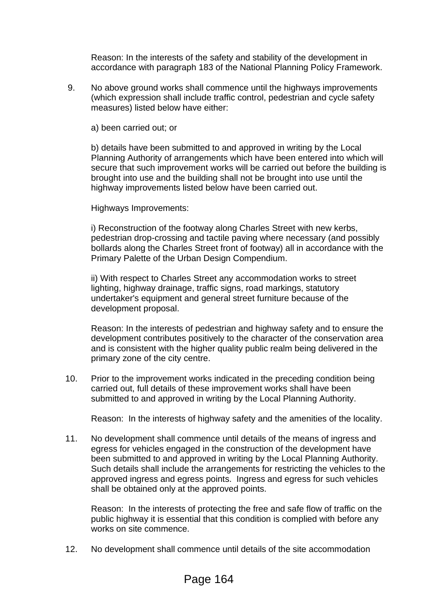Reason: In the interests of the safety and stability of the development in accordance with paragraph 183 of the National Planning Policy Framework.

9. No above ground works shall commence until the highways improvements (which expression shall include traffic control, pedestrian and cycle safety measures) listed below have either:

a) been carried out; or

b) details have been submitted to and approved in writing by the Local Planning Authority of arrangements which have been entered into which will secure that such improvement works will be carried out before the building is brought into use and the building shall not be brought into use until the highway improvements listed below have been carried out.

Highways Improvements:

i) Reconstruction of the footway along Charles Street with new kerbs, pedestrian drop-crossing and tactile paving where necessary (and possibly bollards along the Charles Street front of footway) all in accordance with the Primary Palette of the Urban Design Compendium.

ii) With respect to Charles Street any accommodation works to street lighting, highway drainage, traffic signs, road markings, statutory undertaker's equipment and general street furniture because of the development proposal.

Reason: In the interests of pedestrian and highway safety and to ensure the development contributes positively to the character of the conservation area and is consistent with the higher quality public realm being delivered in the primary zone of the city centre.

10. Prior to the improvement works indicated in the preceding condition being carried out, full details of these improvement works shall have been submitted to and approved in writing by the Local Planning Authority.

Reason: In the interests of highway safety and the amenities of the locality.

11. No development shall commence until details of the means of ingress and egress for vehicles engaged in the construction of the development have been submitted to and approved in writing by the Local Planning Authority. Such details shall include the arrangements for restricting the vehicles to the approved ingress and egress points. Ingress and egress for such vehicles shall be obtained only at the approved points.

Reason: In the interests of protecting the free and safe flow of traffic on the public highway it is essential that this condition is complied with before any works on site commence.

12. No development shall commence until details of the site accommodation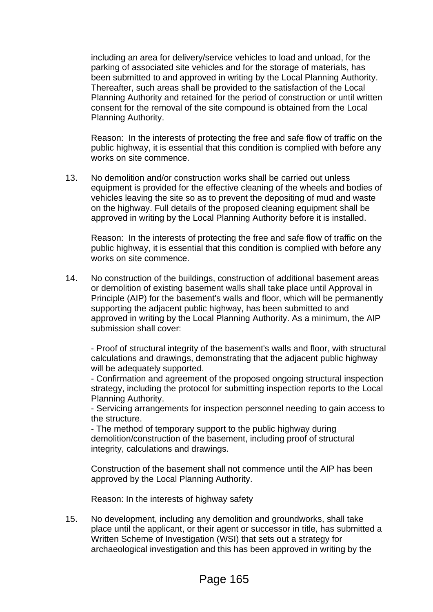including an area for delivery/service vehicles to load and unload, for the parking of associated site vehicles and for the storage of materials, has been submitted to and approved in writing by the Local Planning Authority. Thereafter, such areas shall be provided to the satisfaction of the Local Planning Authority and retained for the period of construction or until written consent for the removal of the site compound is obtained from the Local Planning Authority.

Reason: In the interests of protecting the free and safe flow of traffic on the public highway, it is essential that this condition is complied with before any works on site commence.

13. No demolition and/or construction works shall be carried out unless equipment is provided for the effective cleaning of the wheels and bodies of vehicles leaving the site so as to prevent the depositing of mud and waste on the highway. Full details of the proposed cleaning equipment shall be approved in writing by the Local Planning Authority before it is installed.

Reason: In the interests of protecting the free and safe flow of traffic on the public highway, it is essential that this condition is complied with before any works on site commence.

14. No construction of the buildings, construction of additional basement areas or demolition of existing basement walls shall take place until Approval in Principle (AIP) for the basement's walls and floor, which will be permanently supporting the adjacent public highway, has been submitted to and approved in writing by the Local Planning Authority. As a minimum, the AIP submission shall cover:

- Proof of structural integrity of the basement's walls and floor, with structural calculations and drawings, demonstrating that the adjacent public highway will be adequately supported.

- Confirmation and agreement of the proposed ongoing structural inspection strategy, including the protocol for submitting inspection reports to the Local Planning Authority.

- Servicing arrangements for inspection personnel needing to gain access to the structure.

- The method of temporary support to the public highway during demolition/construction of the basement, including proof of structural integrity, calculations and drawings.

Construction of the basement shall not commence until the AIP has been approved by the Local Planning Authority.

Reason: In the interests of highway safety

15. No development, including any demolition and groundworks, shall take place until the applicant, or their agent or successor in title, has submitted a Written Scheme of Investigation (WSI) that sets out a strategy for archaeological investigation and this has been approved in writing by the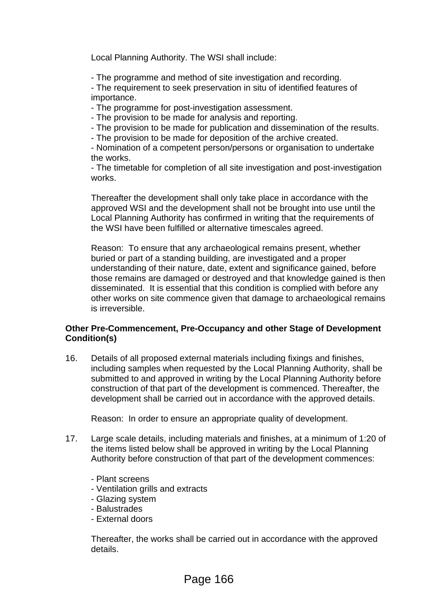Local Planning Authority. The WSI shall include:

- The programme and method of site investigation and recording.

- The requirement to seek preservation in situ of identified features of importance.

- The programme for post-investigation assessment.

- The provision to be made for analysis and reporting.

- The provision to be made for publication and dissemination of the results.

- The provision to be made for deposition of the archive created.

- Nomination of a competent person/persons or organisation to undertake the works.

- The timetable for completion of all site investigation and post-investigation works.

Thereafter the development shall only take place in accordance with the approved WSI and the development shall not be brought into use until the Local Planning Authority has confirmed in writing that the requirements of the WSI have been fulfilled or alternative timescales agreed.

Reason: To ensure that any archaeological remains present, whether buried or part of a standing building, are investigated and a proper understanding of their nature, date, extent and significance gained, before those remains are damaged or destroyed and that knowledge gained is then disseminated. It is essential that this condition is complied with before any other works on site commence given that damage to archaeological remains is irreversible.

# **Other Pre-Commencement, Pre-Occupancy and other Stage of Development Condition(s)**

16. Details of all proposed external materials including fixings and finishes, including samples when requested by the Local Planning Authority, shall be submitted to and approved in writing by the Local Planning Authority before construction of that part of the development is commenced. Thereafter, the development shall be carried out in accordance with the approved details.

Reason: In order to ensure an appropriate quality of development.

- 17. Large scale details, including materials and finishes, at a minimum of 1:20 of the items listed below shall be approved in writing by the Local Planning Authority before construction of that part of the development commences:
	- Plant screens
	- Ventilation grills and extracts
	- Glazing system
	- Balustrades
	- External doors

Thereafter, the works shall be carried out in accordance with the approved details.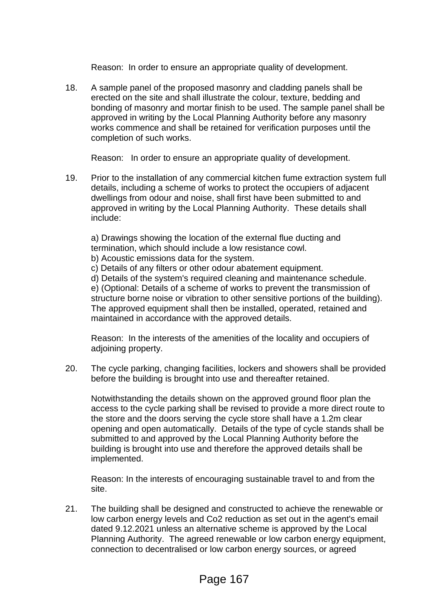Reason: In order to ensure an appropriate quality of development.

18. A sample panel of the proposed masonry and cladding panels shall be erected on the site and shall illustrate the colour, texture, bedding and bonding of masonry and mortar finish to be used. The sample panel shall be approved in writing by the Local Planning Authority before any masonry works commence and shall be retained for verification purposes until the completion of such works.

Reason: In order to ensure an appropriate quality of development.

19. Prior to the installation of any commercial kitchen fume extraction system full details, including a scheme of works to protect the occupiers of adjacent dwellings from odour and noise, shall first have been submitted to and approved in writing by the Local Planning Authority. These details shall include:

a) Drawings showing the location of the external flue ducting and termination, which should include a low resistance cowl.

b) Acoustic emissions data for the system.

c) Details of any filters or other odour abatement equipment.

d) Details of the system's required cleaning and maintenance schedule. e) (Optional: Details of a scheme of works to prevent the transmission of structure borne noise or vibration to other sensitive portions of the building). The approved equipment shall then be installed, operated, retained and maintained in accordance with the approved details.

Reason: In the interests of the amenities of the locality and occupiers of adjoining property.

20. The cycle parking, changing facilities, lockers and showers shall be provided before the building is brought into use and thereafter retained.

Notwithstanding the details shown on the approved ground floor plan the access to the cycle parking shall be revised to provide a more direct route to the store and the doors serving the cycle store shall have a 1.2m clear opening and open automatically. Details of the type of cycle stands shall be submitted to and approved by the Local Planning Authority before the building is brought into use and therefore the approved details shall be implemented.

Reason: In the interests of encouraging sustainable travel to and from the site.

21. The building shall be designed and constructed to achieve the renewable or low carbon energy levels and Co2 reduction as set out in the agent's email dated 9.12.2021 unless an alternative scheme is approved by the Local Planning Authority. The agreed renewable or low carbon energy equipment, connection to decentralised or low carbon energy sources, or agreed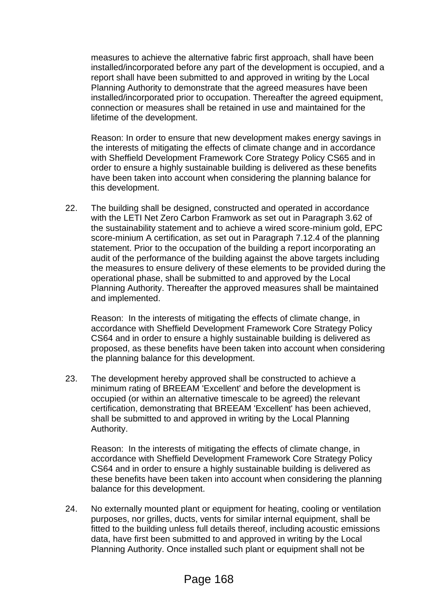measures to achieve the alternative fabric first approach, shall have been installed/incorporated before any part of the development is occupied, and a report shall have been submitted to and approved in writing by the Local Planning Authority to demonstrate that the agreed measures have been installed/incorporated prior to occupation. Thereafter the agreed equipment, connection or measures shall be retained in use and maintained for the lifetime of the development.

Reason: In order to ensure that new development makes energy savings in the interests of mitigating the effects of climate change and in accordance with Sheffield Development Framework Core Strategy Policy CS65 and in order to ensure a highly sustainable building is delivered as these benefits have been taken into account when considering the planning balance for this development.

22. The building shall be designed, constructed and operated in accordance with the LETI Net Zero Carbon Framwork as set out in Paragraph 3.62 of the sustainability statement and to achieve a wired score-minium gold, EPC score-minium A certification, as set out in Paragraph 7.12.4 of the planning statement. Prior to the occupation of the building a report incorporating an audit of the performance of the building against the above targets including the measures to ensure delivery of these elements to be provided during the operational phase, shall be submitted to and approved by the Local Planning Authority. Thereafter the approved measures shall be maintained and implemented.

Reason: In the interests of mitigating the effects of climate change, in accordance with Sheffield Development Framework Core Strategy Policy CS64 and in order to ensure a highly sustainable building is delivered as proposed, as these benefits have been taken into account when considering the planning balance for this development.

23. The development hereby approved shall be constructed to achieve a minimum rating of BREEAM 'Excellent' and before the development is occupied (or within an alternative timescale to be agreed) the relevant certification, demonstrating that BREEAM 'Excellent' has been achieved, shall be submitted to and approved in writing by the Local Planning Authority.

Reason: In the interests of mitigating the effects of climate change, in accordance with Sheffield Development Framework Core Strategy Policy CS64 and in order to ensure a highly sustainable building is delivered as these benefits have been taken into account when considering the planning balance for this development.

24. No externally mounted plant or equipment for heating, cooling or ventilation purposes, nor grilles, ducts, vents for similar internal equipment, shall be fitted to the building unless full details thereof, including acoustic emissions data, have first been submitted to and approved in writing by the Local Planning Authority. Once installed such plant or equipment shall not be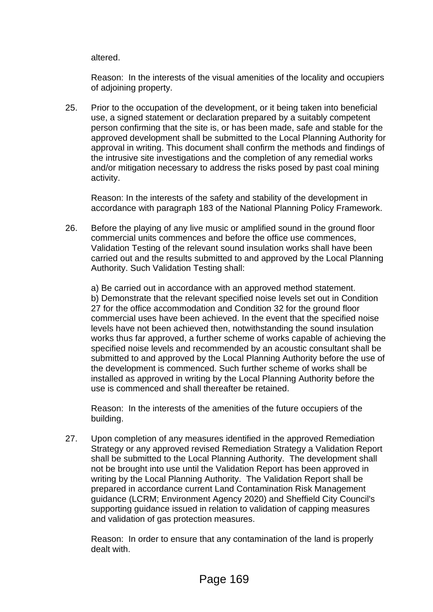altered.

Reason: In the interests of the visual amenities of the locality and occupiers of adjoining property.

25. Prior to the occupation of the development, or it being taken into beneficial use, a signed statement or declaration prepared by a suitably competent person confirming that the site is, or has been made, safe and stable for the approved development shall be submitted to the Local Planning Authority for approval in writing. This document shall confirm the methods and findings of the intrusive site investigations and the completion of any remedial works and/or mitigation necessary to address the risks posed by past coal mining activity.

Reason: In the interests of the safety and stability of the development in accordance with paragraph 183 of the National Planning Policy Framework.

26. Before the playing of any live music or amplified sound in the ground floor commercial units commences and before the office use commences, Validation Testing of the relevant sound insulation works shall have been carried out and the results submitted to and approved by the Local Planning Authority. Such Validation Testing shall:

a) Be carried out in accordance with an approved method statement. b) Demonstrate that the relevant specified noise levels set out in Condition 27 for the office accommodation and Condition 32 for the ground floor commercial uses have been achieved. In the event that the specified noise levels have not been achieved then, notwithstanding the sound insulation works thus far approved, a further scheme of works capable of achieving the specified noise levels and recommended by an acoustic consultant shall be submitted to and approved by the Local Planning Authority before the use of the development is commenced. Such further scheme of works shall be installed as approved in writing by the Local Planning Authority before the use is commenced and shall thereafter be retained.

Reason: In the interests of the amenities of the future occupiers of the building.

27. Upon completion of any measures identified in the approved Remediation Strategy or any approved revised Remediation Strategy a Validation Report shall be submitted to the Local Planning Authority. The development shall not be brought into use until the Validation Report has been approved in writing by the Local Planning Authority. The Validation Report shall be prepared in accordance current Land Contamination Risk Management guidance (LCRM; Environment Agency 2020) and Sheffield City Council's supporting guidance issued in relation to validation of capping measures and validation of gas protection measures.

Reason: In order to ensure that any contamination of the land is properly dealt with.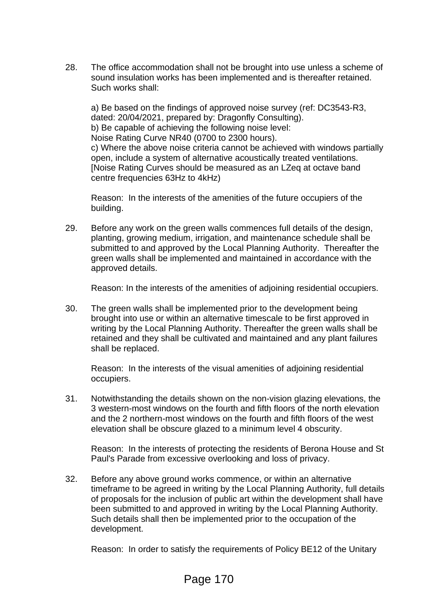28. The office accommodation shall not be brought into use unless a scheme of sound insulation works has been implemented and is thereafter retained. Such works shall:

a) Be based on the findings of approved noise survey (ref: DC3543-R3, dated: 20/04/2021, prepared by: Dragonfly Consulting). b) Be capable of achieving the following noise level: Noise Rating Curve NR40 (0700 to 2300 hours). c) Where the above noise criteria cannot be achieved with windows partially open, include a system of alternative acoustically treated ventilations. [Noise Rating Curves should be measured as an LZeq at octave band centre frequencies 63Hz to 4kHz)

Reason: In the interests of the amenities of the future occupiers of the building.

29. Before any work on the green walls commences full details of the design, planting, growing medium, irrigation, and maintenance schedule shall be submitted to and approved by the Local Planning Authority. Thereafter the green walls shall be implemented and maintained in accordance with the approved details.

Reason: In the interests of the amenities of adjoining residential occupiers.

30. The green walls shall be implemented prior to the development being brought into use or within an alternative timescale to be first approved in writing by the Local Planning Authority. Thereafter the green walls shall be retained and they shall be cultivated and maintained and any plant failures shall be replaced.

Reason: In the interests of the visual amenities of adjoining residential occupiers.

31. Notwithstanding the details shown on the non-vision glazing elevations, the 3 western-most windows on the fourth and fifth floors of the north elevation and the 2 northern-most windows on the fourth and fifth floors of the west elevation shall be obscure glazed to a minimum level 4 obscurity.

Reason: In the interests of protecting the residents of Berona House and St Paul's Parade from excessive overlooking and loss of privacy.

32. Before any above ground works commence, or within an alternative timeframe to be agreed in writing by the Local Planning Authority, full details of proposals for the inclusion of public art within the development shall have been submitted to and approved in writing by the Local Planning Authority. Such details shall then be implemented prior to the occupation of the development.

Reason: In order to satisfy the requirements of Policy BE12 of the Unitary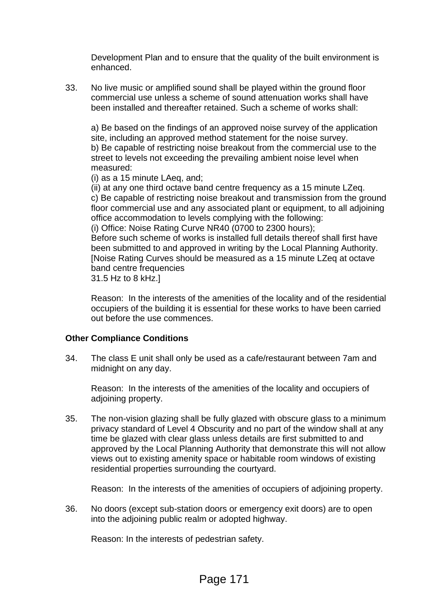Development Plan and to ensure that the quality of the built environment is enhanced.

33. No live music or amplified sound shall be played within the ground floor commercial use unless a scheme of sound attenuation works shall have been installed and thereafter retained. Such a scheme of works shall:

a) Be based on the findings of an approved noise survey of the application site, including an approved method statement for the noise survey. b) Be capable of restricting noise breakout from the commercial use to the street to levels not exceeding the prevailing ambient noise level when measured:

(i) as a 15 minute LAeq, and;

(ii) at any one third octave band centre frequency as a 15 minute LZeq. c) Be capable of restricting noise breakout and transmission from the ground floor commercial use and any associated plant or equipment, to all adjoining office accommodation to levels complying with the following: (i) Office: Noise Rating Curve NR40 (0700 to 2300 hours);

Before such scheme of works is installed full details thereof shall first have been submitted to and approved in writing by the Local Planning Authority. [Noise Rating Curves should be measured as a 15 minute LZeq at octave band centre frequencies

31.5 Hz to 8 kHz.]

Reason: In the interests of the amenities of the locality and of the residential occupiers of the building it is essential for these works to have been carried out before the use commences.

# **Other Compliance Conditions**

34. The class E unit shall only be used as a cafe/restaurant between 7am and midnight on any day.

Reason: In the interests of the amenities of the locality and occupiers of adjoining property.

35. The non-vision glazing shall be fully glazed with obscure glass to a minimum privacy standard of Level 4 Obscurity and no part of the window shall at any time be glazed with clear glass unless details are first submitted to and approved by the Local Planning Authority that demonstrate this will not allow views out to existing amenity space or habitable room windows of existing residential properties surrounding the courtyard.

Reason: In the interests of the amenities of occupiers of adjoining property.

36. No doors (except sub-station doors or emergency exit doors) are to open into the adjoining public realm or adopted highway.

Reason: In the interests of pedestrian safety.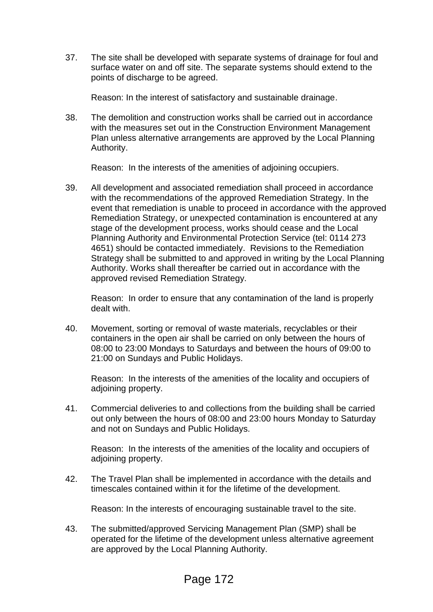37. The site shall be developed with separate systems of drainage for foul and surface water on and off site. The separate systems should extend to the points of discharge to be agreed.

Reason: In the interest of satisfactory and sustainable drainage.

38. The demolition and construction works shall be carried out in accordance with the measures set out in the Construction Environment Management Plan unless alternative arrangements are approved by the Local Planning Authority.

Reason: In the interests of the amenities of adjoining occupiers.

39. All development and associated remediation shall proceed in accordance with the recommendations of the approved Remediation Strategy. In the event that remediation is unable to proceed in accordance with the approved Remediation Strategy, or unexpected contamination is encountered at any stage of the development process, works should cease and the Local Planning Authority and Environmental Protection Service (tel: 0114 273 4651) should be contacted immediately. Revisions to the Remediation Strategy shall be submitted to and approved in writing by the Local Planning Authority. Works shall thereafter be carried out in accordance with the approved revised Remediation Strategy.

Reason: In order to ensure that any contamination of the land is properly dealt with.

40. Movement, sorting or removal of waste materials, recyclables or their containers in the open air shall be carried on only between the hours of 08:00 to 23:00 Mondays to Saturdays and between the hours of 09:00 to 21:00 on Sundays and Public Holidays.

Reason: In the interests of the amenities of the locality and occupiers of adjoining property.

41. Commercial deliveries to and collections from the building shall be carried out only between the hours of 08:00 and 23:00 hours Monday to Saturday and not on Sundays and Public Holidays.

Reason: In the interests of the amenities of the locality and occupiers of adioining property.

42. The Travel Plan shall be implemented in accordance with the details and timescales contained within it for the lifetime of the development.

Reason: In the interests of encouraging sustainable travel to the site.

43. The submitted/approved Servicing Management Plan (SMP) shall be operated for the lifetime of the development unless alternative agreement are approved by the Local Planning Authority.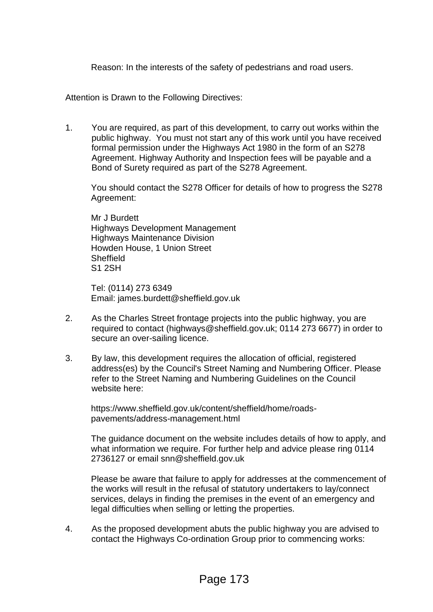Reason: In the interests of the safety of pedestrians and road users.

Attention is Drawn to the Following Directives:

1. You are required, as part of this development, to carry out works within the public highway. You must not start any of this work until you have received formal permission under the Highways Act 1980 in the form of an S278 Agreement. Highway Authority and Inspection fees will be payable and a Bond of Surety required as part of the S278 Agreement.

You should contact the S278 Officer for details of how to progress the S278 Agreement:

Mr J Burdett Highways Development Management Highways Maintenance Division Howden House, 1 Union Street **Sheffield** S1 2SH

Tel: (0114) 273 6349 Email: james.burdett@sheffield.gov.uk

- 2. As the Charles Street frontage projects into the public highway, you are required to contact (highways@sheffield.gov.uk; 0114 273 6677) in order to secure an over-sailing licence.
- 3. By law, this development requires the allocation of official, registered address(es) by the Council's Street Naming and Numbering Officer. Please refer to the Street Naming and Numbering Guidelines on the Council website here:

https://www.sheffield.gov.uk/content/sheffield/home/roadspavements/address-management.html

The guidance document on the website includes details of how to apply, and what information we require. For further help and advice please ring 0114 2736127 or email snn@sheffield.gov.uk

Please be aware that failure to apply for addresses at the commencement of the works will result in the refusal of statutory undertakers to lay/connect services, delays in finding the premises in the event of an emergency and legal difficulties when selling or letting the properties.

4. As the proposed development abuts the public highway you are advised to contact the Highways Co-ordination Group prior to commencing works: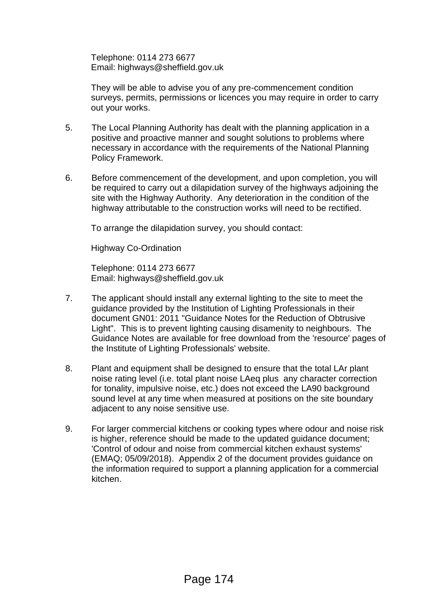Telephone: 0114 273 6677 Email: highways@sheffield.gov.uk

They will be able to advise you of any pre-commencement condition surveys, permits, permissions or licences you may require in order to carry out your works.

- 5. The Local Planning Authority has dealt with the planning application in a positive and proactive manner and sought solutions to problems where necessary in accordance with the requirements of the National Planning Policy Framework.
- 6. Before commencement of the development, and upon completion, you will be required to carry out a dilapidation survey of the highways adjoining the site with the Highway Authority. Any deterioration in the condition of the highway attributable to the construction works will need to be rectified.

To arrange the dilapidation survey, you should contact:

Highway Co-Ordination

Telephone: 0114 273 6677 Email: highways@sheffield.gov.uk

- 7. The applicant should install any external lighting to the site to meet the guidance provided by the Institution of Lighting Professionals in their document GN01: 2011 "Guidance Notes for the Reduction of Obtrusive Light". This is to prevent lighting causing disamenity to neighbours. The Guidance Notes are available for free download from the 'resource' pages of the Institute of Lighting Professionals' website.
- 8. Plant and equipment shall be designed to ensure that the total LAr plant noise rating level (i.e. total plant noise LAeq plus any character correction for tonality, impulsive noise, etc.) does not exceed the LA90 background sound level at any time when measured at positions on the site boundary adjacent to any noise sensitive use.
- 9. For larger commercial kitchens or cooking types where odour and noise risk is higher, reference should be made to the updated guidance document; 'Control of odour and noise from commercial kitchen exhaust systems' (EMAQ; 05/09/2018). Appendix 2 of the document provides guidance on the information required to support a planning application for a commercial kitchen.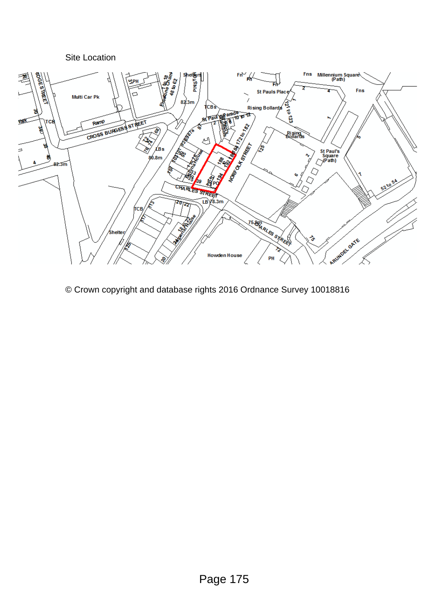

© Crown copyright and database rights 2016 Ordnance Survey 10018816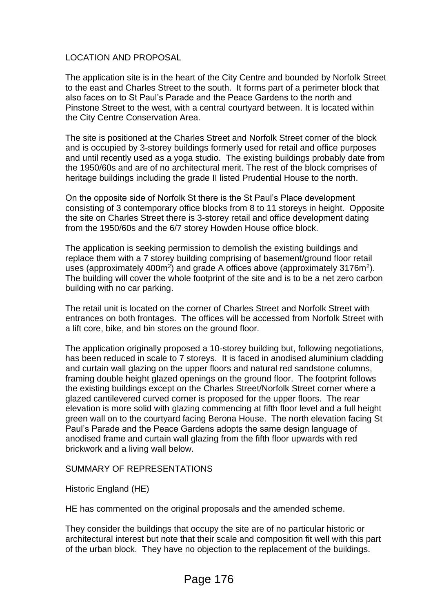## LOCATION AND PROPOSAL

The application site is in the heart of the City Centre and bounded by Norfolk Street to the east and Charles Street to the south. It forms part of a perimeter block that also faces on to St Paul's Parade and the Peace Gardens to the north and Pinstone Street to the west, with a central courtyard between. It is located within the City Centre Conservation Area.

The site is positioned at the Charles Street and Norfolk Street corner of the block and is occupied by 3-storey buildings formerly used for retail and office purposes and until recently used as a yoga studio. The existing buildings probably date from the 1950/60s and are of no architectural merit. The rest of the block comprises of heritage buildings including the grade II listed Prudential House to the north.

On the opposite side of Norfolk St there is the St Paul's Place development consisting of 3 contemporary office blocks from 8 to 11 storeys in height. Opposite the site on Charles Street there is 3-storey retail and office development dating from the 1950/60s and the 6/7 storey Howden House office block.

The application is seeking permission to demolish the existing buildings and replace them with a 7 storey building comprising of basement/ground floor retail uses (approximately 400m<sup>2</sup>) and grade A offices above (approximately 3176m<sup>2</sup>). The building will cover the whole footprint of the site and is to be a net zero carbon building with no car parking.

The retail unit is located on the corner of Charles Street and Norfolk Street with entrances on both frontages. The offices will be accessed from Norfolk Street with a lift core, bike, and bin stores on the ground floor.

The application originally proposed a 10-storey building but, following negotiations, has been reduced in scale to 7 storeys. It is faced in anodised aluminium cladding and curtain wall glazing on the upper floors and natural red sandstone columns, framing double height glazed openings on the ground floor. The footprint follows the existing buildings except on the Charles Street/Norfolk Street corner where a glazed cantilevered curved corner is proposed for the upper floors. The rear elevation is more solid with glazing commencing at fifth floor level and a full height green wall on to the courtyard facing Berona House. The north elevation facing St Paul's Parade and the Peace Gardens adopts the same design language of anodised frame and curtain wall glazing from the fifth floor upwards with red brickwork and a living wall below.

### SUMMARY OF REPRESENTATIONS

Historic England (HE)

HE has commented on the original proposals and the amended scheme.

They consider the buildings that occupy the site are of no particular historic or architectural interest but note that their scale and composition fit well with this part of the urban block. They have no objection to the replacement of the buildings.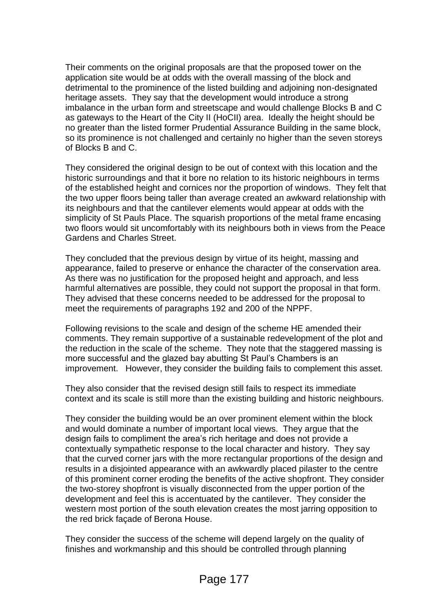Their comments on the original proposals are that the proposed tower on the application site would be at odds with the overall massing of the block and detrimental to the prominence of the listed building and adjoining non-designated heritage assets. They say that the development would introduce a strong imbalance in the urban form and streetscape and would challenge Blocks B and C as gateways to the Heart of the City II (HoCII) area. Ideally the height should be no greater than the listed former Prudential Assurance Building in the same block, so its prominence is not challenged and certainly no higher than the seven storeys of Blocks B and C.

They considered the original design to be out of context with this location and the historic surroundings and that it bore no relation to its historic neighbours in terms of the established height and cornices nor the proportion of windows. They felt that the two upper floors being taller than average created an awkward relationship with its neighbours and that the cantilever elements would appear at odds with the simplicity of St Pauls Place. The squarish proportions of the metal frame encasing two floors would sit uncomfortably with its neighbours both in views from the Peace Gardens and Charles Street.

They concluded that the previous design by virtue of its height, massing and appearance, failed to preserve or enhance the character of the conservation area. As there was no justification for the proposed height and approach, and less harmful alternatives are possible, they could not support the proposal in that form. They advised that these concerns needed to be addressed for the proposal to meet the requirements of paragraphs 192 and 200 of the NPPF.

Following revisions to the scale and design of the scheme HE amended their comments. They remain supportive of a sustainable redevelopment of the plot and the reduction in the scale of the scheme. They note that the staggered massing is more successful and the glazed bay abutting St Paul's Chambers is an improvement. However, they consider the building fails to complement this asset.

They also consider that the revised design still fails to respect its immediate context and its scale is still more than the existing building and historic neighbours.

They consider the building would be an over prominent element within the block and would dominate a number of important local views. They argue that the design fails to compliment the area's rich heritage and does not provide a contextually sympathetic response to the local character and history. They say that the curved corner jars with the more rectangular proportions of the design and results in a disjointed appearance with an awkwardly placed pilaster to the centre of this prominent corner eroding the benefits of the active shopfront. They consider the two-storey shopfront is visually disconnected from the upper portion of the development and feel this is accentuated by the cantilever. They consider the western most portion of the south elevation creates the most jarring opposition to the red brick façade of Berona House.

They consider the success of the scheme will depend largely on the quality of finishes and workmanship and this should be controlled through planning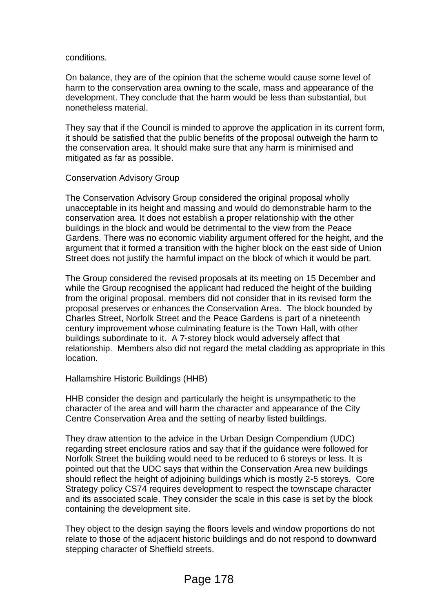#### conditions.

On balance, they are of the opinion that the scheme would cause some level of harm to the conservation area owning to the scale, mass and appearance of the development. They conclude that the harm would be less than substantial, but nonetheless material.

They say that if the Council is minded to approve the application in its current form, it should be satisfied that the public benefits of the proposal outweigh the harm to the conservation area. It should make sure that any harm is minimised and mitigated as far as possible.

### Conservation Advisory Group

The Conservation Advisory Group considered the original proposal wholly unacceptable in its height and massing and would do demonstrable harm to the conservation area. It does not establish a proper relationship with the other buildings in the block and would be detrimental to the view from the Peace Gardens. There was no economic viability argument offered for the height, and the argument that it formed a transition with the higher block on the east side of Union Street does not justify the harmful impact on the block of which it would be part.

The Group considered the revised proposals at its meeting on 15 December and while the Group recognised the applicant had reduced the height of the building from the original proposal, members did not consider that in its revised form the proposal preserves or enhances the Conservation Area. The block bounded by Charles Street, Norfolk Street and the Peace Gardens is part of a nineteenth century improvement whose culminating feature is the Town Hall, with other buildings subordinate to it. A 7-storey block would adversely affect that relationship. Members also did not regard the metal cladding as appropriate in this location.

Hallamshire Historic Buildings (HHB)

HHB consider the design and particularly the height is unsympathetic to the character of the area and will harm the character and appearance of the City Centre Conservation Area and the setting of nearby listed buildings.

They draw attention to the advice in the Urban Design Compendium (UDC) regarding street enclosure ratios and say that if the guidance were followed for Norfolk Street the building would need to be reduced to 6 storeys or less. It is pointed out that the UDC says that within the Conservation Area new buildings should reflect the height of adjoining buildings which is mostly 2-5 storeys. Core Strategy policy CS74 requires development to respect the townscape character and its associated scale. They consider the scale in this case is set by the block containing the development site.

They object to the design saying the floors levels and window proportions do not relate to those of the adjacent historic buildings and do not respond to downward stepping character of Sheffield streets.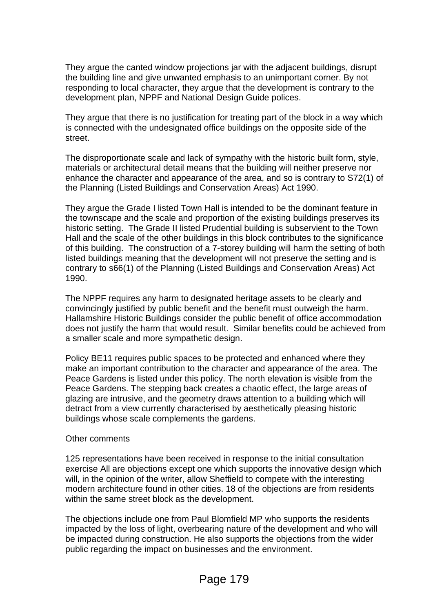They argue the canted window projections jar with the adjacent buildings, disrupt the building line and give unwanted emphasis to an unimportant corner. By not responding to local character, they argue that the development is contrary to the development plan, NPPF and National Design Guide polices.

They argue that there is no justification for treating part of the block in a way which is connected with the undesignated office buildings on the opposite side of the street.

The disproportionate scale and lack of sympathy with the historic built form, style, materials or architectural detail means that the building will neither preserve nor enhance the character and appearance of the area, and so is contrary to S72(1) of the Planning (Listed Buildings and Conservation Areas) Act 1990.

They argue the Grade I listed Town Hall is intended to be the dominant feature in the townscape and the scale and proportion of the existing buildings preserves its historic setting. The Grade II listed Prudential building is subservient to the Town Hall and the scale of the other buildings in this block contributes to the significance of this building. The construction of a 7-storey building will harm the setting of both listed buildings meaning that the development will not preserve the setting and is contrary to s66(1) of the Planning (Listed Buildings and Conservation Areas) Act 1990.

The NPPF requires any harm to designated heritage assets to be clearly and convincingly justified by public benefit and the benefit must outweigh the harm. Hallamshire Historic Buildings consider the public benefit of office accommodation does not justify the harm that would result. Similar benefits could be achieved from a smaller scale and more sympathetic design.

Policy BE11 requires public spaces to be protected and enhanced where they make an important contribution to the character and appearance of the area. The Peace Gardens is listed under this policy. The north elevation is visible from the Peace Gardens. The stepping back creates a chaotic effect, the large areas of glazing are intrusive, and the geometry draws attention to a building which will detract from a view currently characterised by aesthetically pleasing historic buildings whose scale complements the gardens.

### Other comments

125 representations have been received in response to the initial consultation exercise All are objections except one which supports the innovative design which will, in the opinion of the writer, allow Sheffield to compete with the interesting modern architecture found in other cities. 18 of the objections are from residents within the same street block as the development.

The objections include one from Paul Blomfield MP who supports the residents impacted by the loss of light, overbearing nature of the development and who will be impacted during construction. He also supports the objections from the wider public regarding the impact on businesses and the environment.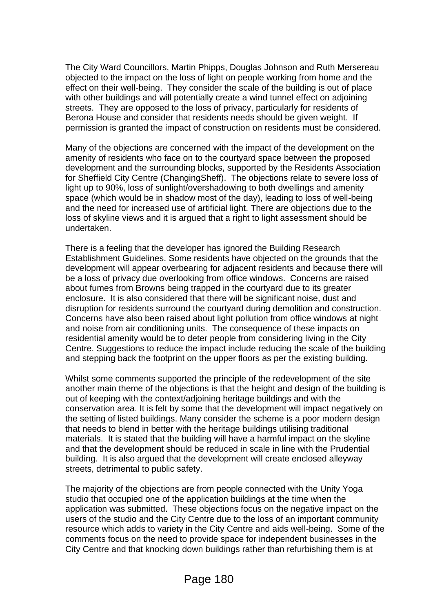The City Ward Councillors, Martin Phipps, Douglas Johnson and Ruth Mersereau objected to the impact on the loss of light on people working from home and the effect on their well-being. They consider the scale of the building is out of place with other buildings and will potentially create a wind tunnel effect on adjoining streets. They are opposed to the loss of privacy, particularly for residents of Berona House and consider that residents needs should be given weight. If permission is granted the impact of construction on residents must be considered.

Many of the objections are concerned with the impact of the development on the amenity of residents who face on to the courtyard space between the proposed development and the surrounding blocks, supported by the Residents Association for Sheffield City Centre (ChangingSheff). The objections relate to severe loss of light up to 90%, loss of sunlight/overshadowing to both dwellings and amenity space (which would be in shadow most of the day), leading to loss of well-being and the need for increased use of artificial light. There are objections due to the loss of skyline views and it is argued that a right to light assessment should be undertaken.

There is a feeling that the developer has ignored the Building Research Establishment Guidelines. Some residents have objected on the grounds that the development will appear overbearing for adjacent residents and because there will be a loss of privacy due overlooking from office windows. Concerns are raised about fumes from Browns being trapped in the courtyard due to its greater enclosure. It is also considered that there will be significant noise, dust and disruption for residents surround the courtyard during demolition and construction. Concerns have also been raised about light pollution from office windows at night and noise from air conditioning units. The consequence of these impacts on residential amenity would be to deter people from considering living in the City Centre. Suggestions to reduce the impact include reducing the scale of the building and stepping back the footprint on the upper floors as per the existing building.

Whilst some comments supported the principle of the redevelopment of the site another main theme of the objections is that the height and design of the building is out of keeping with the context/adjoining heritage buildings and with the conservation area. It is felt by some that the development will impact negatively on the setting of listed buildings. Many consider the scheme is a poor modern design that needs to blend in better with the heritage buildings utilising traditional materials. It is stated that the building will have a harmful impact on the skyline and that the development should be reduced in scale in line with the Prudential building. It is also argued that the development will create enclosed alleyway streets, detrimental to public safety.

The majority of the objections are from people connected with the Unity Yoga studio that occupied one of the application buildings at the time when the application was submitted. These objections focus on the negative impact on the users of the studio and the City Centre due to the loss of an important community resource which adds to variety in the City Centre and aids well-being. Some of the comments focus on the need to provide space for independent businesses in the City Centre and that knocking down buildings rather than refurbishing them is at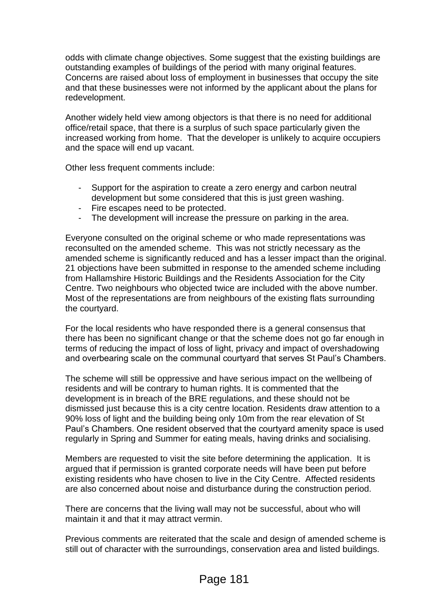odds with climate change objectives. Some suggest that the existing buildings are outstanding examples of buildings of the period with many original features. Concerns are raised about loss of employment in businesses that occupy the site and that these businesses were not informed by the applicant about the plans for redevelopment.

Another widely held view among objectors is that there is no need for additional office/retail space, that there is a surplus of such space particularly given the increased working from home. That the developer is unlikely to acquire occupiers and the space will end up vacant.

Other less frequent comments include:

- Support for the aspiration to create a zero energy and carbon neutral development but some considered that this is just green washing.
- Fire escapes need to be protected.
- The development will increase the pressure on parking in the area.

Everyone consulted on the original scheme or who made representations was reconsulted on the amended scheme. This was not strictly necessary as the amended scheme is significantly reduced and has a lesser impact than the original. 21 objections have been submitted in response to the amended scheme including from Hallamshire Historic Buildings and the Residents Association for the City Centre. Two neighbours who objected twice are included with the above number. Most of the representations are from neighbours of the existing flats surrounding the courtyard.

For the local residents who have responded there is a general consensus that there has been no significant change or that the scheme does not go far enough in terms of reducing the impact of loss of light, privacy and impact of overshadowing and overbearing scale on the communal courtyard that serves St Paul's Chambers.

The scheme will still be oppressive and have serious impact on the wellbeing of residents and will be contrary to human rights. It is commented that the development is in breach of the BRE regulations, and these should not be dismissed just because this is a city centre location. Residents draw attention to a 90% loss of light and the building being only 10m from the rear elevation of St Paul's Chambers. One resident observed that the courtyard amenity space is used regularly in Spring and Summer for eating meals, having drinks and socialising.

Members are requested to visit the site before determining the application. It is argued that if permission is granted corporate needs will have been put before existing residents who have chosen to live in the City Centre. Affected residents are also concerned about noise and disturbance during the construction period.

There are concerns that the living wall may not be successful, about who will maintain it and that it may attract vermin.

Previous comments are reiterated that the scale and design of amended scheme is still out of character with the surroundings, conservation area and listed buildings.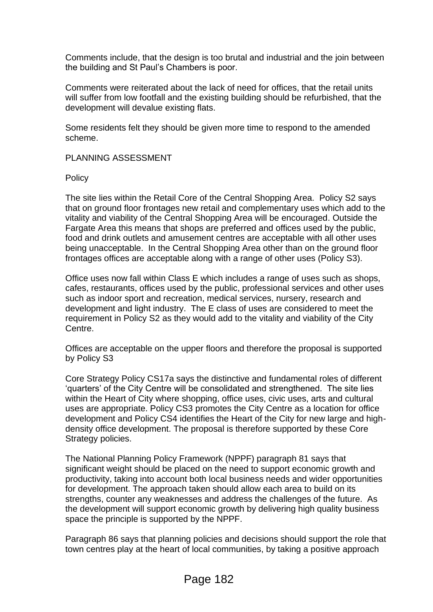Comments include, that the design is too brutal and industrial and the join between the building and St Paul's Chambers is poor.

Comments were reiterated about the lack of need for offices, that the retail units will suffer from low footfall and the existing building should be refurbished, that the development will devalue existing flats.

Some residents felt they should be given more time to respond to the amended scheme.

### PLANNING ASSESSMENT

**Policy** 

The site lies within the Retail Core of the Central Shopping Area. Policy S2 says that on ground floor frontages new retail and complementary uses which add to the vitality and viability of the Central Shopping Area will be encouraged. Outside the Fargate Area this means that shops are preferred and offices used by the public, food and drink outlets and amusement centres are acceptable with all other uses being unacceptable. In the Central Shopping Area other than on the ground floor frontages offices are acceptable along with a range of other uses (Policy S3).

Office uses now fall within Class E which includes a range of uses such as shops, cafes, restaurants, offices used by the public, professional services and other uses such as indoor sport and recreation, medical services, nursery, research and development and light industry. The E class of uses are considered to meet the requirement in Policy S2 as they would add to the vitality and viability of the City Centre.

Offices are acceptable on the upper floors and therefore the proposal is supported by Policy S3

Core Strategy Policy CS17a says the distinctive and fundamental roles of different 'quarters' of the City Centre will be consolidated and strengthened. The site lies within the Heart of City where shopping, office uses, civic uses, arts and cultural uses are appropriate. Policy CS3 promotes the City Centre as a location for office development and Policy CS4 identifies the Heart of the City for new large and highdensity office development. The proposal is therefore supported by these Core Strategy policies.

The National Planning Policy Framework (NPPF) paragraph 81 says that significant weight should be placed on the need to support economic growth and productivity, taking into account both local business needs and wider opportunities for development. The approach taken should allow each area to build on its strengths, counter any weaknesses and address the challenges of the future. As the development will support economic growth by delivering high quality business space the principle is supported by the NPPF.

Paragraph 86 says that planning policies and decisions should support the role that town centres play at the heart of local communities, by taking a positive approach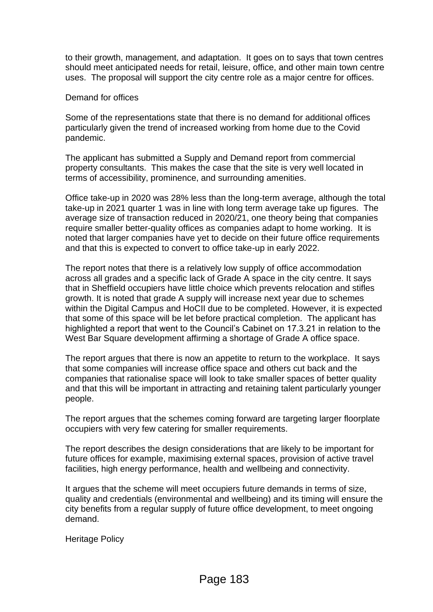to their growth, management, and adaptation. It goes on to says that town centres should meet anticipated needs for retail, leisure, office, and other main town centre uses. The proposal will support the city centre role as a major centre for offices.

#### Demand for offices

Some of the representations state that there is no demand for additional offices particularly given the trend of increased working from home due to the Covid pandemic.

The applicant has submitted a Supply and Demand report from commercial property consultants. This makes the case that the site is very well located in terms of accessibility, prominence, and surrounding amenities.

Office take-up in 2020 was 28% less than the long-term average, although the total take-up in 2021 quarter 1 was in line with long term average take up figures. The average size of transaction reduced in 2020/21, one theory being that companies require smaller better-quality offices as companies adapt to home working. It is noted that larger companies have yet to decide on their future office requirements and that this is expected to convert to office take-up in early 2022.

The report notes that there is a relatively low supply of office accommodation across all grades and a specific lack of Grade A space in the city centre. It says that in Sheffield occupiers have little choice which prevents relocation and stifles growth. It is noted that grade A supply will increase next year due to schemes within the Digital Campus and HoCII due to be completed. However, it is expected that some of this space will be let before practical completion. The applicant has highlighted a report that went to the Council's Cabinet on 17.3.21 in relation to the West Bar Square development affirming a shortage of Grade A office space.

The report argues that there is now an appetite to return to the workplace. It says that some companies will increase office space and others cut back and the companies that rationalise space will look to take smaller spaces of better quality and that this will be important in attracting and retaining talent particularly younger people.

The report argues that the schemes coming forward are targeting larger floorplate occupiers with very few catering for smaller requirements.

The report describes the design considerations that are likely to be important for future offices for example, maximising external spaces, provision of active travel facilities, high energy performance, health and wellbeing and connectivity.

It argues that the scheme will meet occupiers future demands in terms of size, quality and credentials (environmental and wellbeing) and its timing will ensure the city benefits from a regular supply of future office development, to meet ongoing demand.

Heritage Policy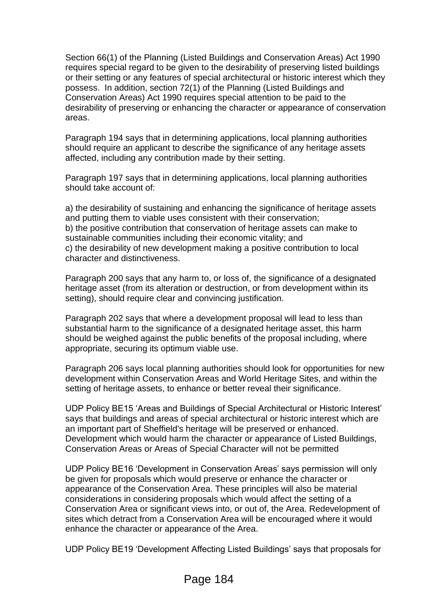Section 66(1) of the Planning (Listed Buildings and Conservation Areas) Act 1990 requires special regard to be given to the desirability of preserving listed buildings or their setting or any features of special architectural or historic interest which they possess. In addition, section 72(1) of the Planning (Listed Buildings and Conservation Areas) Act 1990 requires special attention to be paid to the desirability of preserving or enhancing the character or appearance of conservation areas.

Paragraph 194 says that in determining applications, local planning authorities should require an applicant to describe the significance of any heritage assets affected, including any contribution made by their setting.

Paragraph 197 says that in determining applications, local planning authorities should take account of:

a) the desirability of sustaining and enhancing the significance of heritage assets and putting them to viable uses consistent with their conservation; b) the positive contribution that conservation of heritage assets can make to sustainable communities including their economic vitality; and c) the desirability of new development making a positive contribution to local character and distinctiveness.

Paragraph 200 says that any harm to, or loss of, the significance of a designated heritage asset (from its alteration or destruction, or from development within its setting), should require clear and convincing justification.

Paragraph 202 says that where a development proposal will lead to less than substantial harm to the significance of a designated heritage asset, this harm should be weighed against the public benefits of the proposal including, where appropriate, securing its optimum viable use.

Paragraph 206 says local planning authorities should look for opportunities for new development within Conservation Areas and World Heritage Sites, and within the setting of heritage assets, to enhance or better reveal their significance.

UDP Policy BE15 'Areas and Buildings of Special Architectural or Historic Interest' says that buildings and areas of special architectural or historic interest which are an important part of Sheffield's heritage will be preserved or enhanced. Development which would harm the character or appearance of Listed Buildings, Conservation Areas or Areas of Special Character will not be permitted

UDP Policy BE16 'Development in Conservation Areas' says permission will only be given for proposals which would preserve or enhance the character or appearance of the Conservation Area. These principles will also be material considerations in considering proposals which would affect the setting of a Conservation Area or significant views into, or out of, the Area. Redevelopment of sites which detract from a Conservation Area will be encouraged where it would enhance the character or appearance of the Area.

UDP Policy BE19 'Development Affecting Listed Buildings' says that proposals for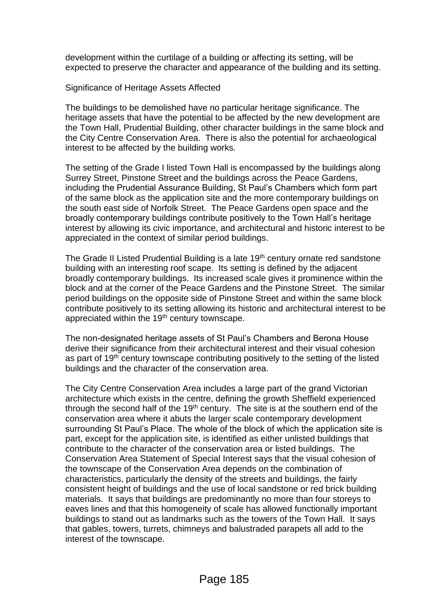development within the curtilage of a building or affecting its setting, will be expected to preserve the character and appearance of the building and its setting.

Significance of Heritage Assets Affected

The buildings to be demolished have no particular heritage significance. The heritage assets that have the potential to be affected by the new development are the Town Hall, Prudential Building, other character buildings in the same block and the City Centre Conservation Area. There is also the potential for archaeological interest to be affected by the building works.

The setting of the Grade I listed Town Hall is encompassed by the buildings along Surrey Street, Pinstone Street and the buildings across the Peace Gardens, including the Prudential Assurance Building, St Paul's Chambers which form part of the same block as the application site and the more contemporary buildings on the south east side of Norfolk Street. The Peace Gardens open space and the broadly contemporary buildings contribute positively to the Town Hall's heritage interest by allowing its civic importance, and architectural and historic interest to be appreciated in the context of similar period buildings.

The Grade II Listed Prudential Building is a late 19<sup>th</sup> century ornate red sandstone building with an interesting roof scape. Its setting is defined by the adjacent broadly contemporary buildings. Its increased scale gives it prominence within the block and at the corner of the Peace Gardens and the Pinstone Street. The similar period buildings on the opposite side of Pinstone Street and within the same block contribute positively to its setting allowing its historic and architectural interest to be appreciated within the 19th century townscape.

The non-designated heritage assets of St Paul's Chambers and Berona House derive their significance from their architectural interest and their visual cohesion as part of 19<sup>th</sup> century townscape contributing positively to the setting of the listed buildings and the character of the conservation area.

The City Centre Conservation Area includes a large part of the grand Victorian architecture which exists in the centre, defining the growth Sheffield experienced through the second half of the  $19<sup>th</sup>$  century. The site is at the southern end of the conservation area where it abuts the larger scale contemporary development surrounding St Paul's Place. The whole of the block of which the application site is part, except for the application site, is identified as either unlisted buildings that contribute to the character of the conservation area or listed buildings. The Conservation Area Statement of Special Interest says that the visual cohesion of the townscape of the Conservation Area depends on the combination of characteristics, particularly the density of the streets and buildings, the fairly consistent height of buildings and the use of local sandstone or red brick building materials. It says that buildings are predominantly no more than four storeys to eaves lines and that this homogeneity of scale has allowed functionally important buildings to stand out as landmarks such as the towers of the Town Hall. It says that gables, towers, turrets, chimneys and balustraded parapets all add to the interest of the townscape.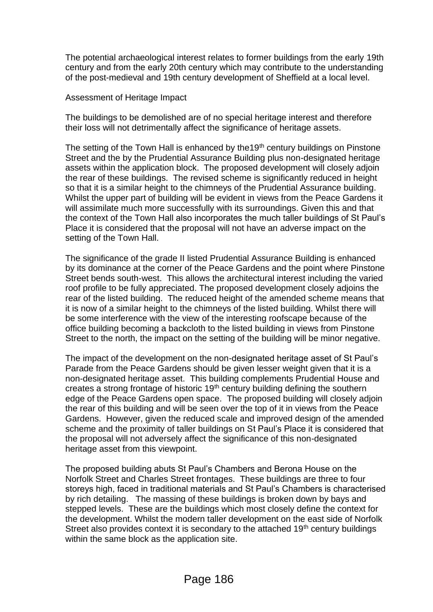The potential archaeological interest relates to former buildings from the early 19th century and from the early 20th century which may contribute to the understanding of the post-medieval and 19th century development of Sheffield at a local level.

### Assessment of Heritage Impact

The buildings to be demolished are of no special heritage interest and therefore their loss will not detrimentally affect the significance of heritage assets.

The setting of the Town Hall is enhanced by the 19<sup>th</sup> century buildings on Pinstone Street and the by the Prudential Assurance Building plus non-designated heritage assets within the application block. The proposed development will closely adjoin the rear of these buildings. The revised scheme is significantly reduced in height so that it is a similar height to the chimneys of the Prudential Assurance building. Whilst the upper part of building will be evident in views from the Peace Gardens it will assimilate much more successfully with its surroundings. Given this and that the context of the Town Hall also incorporates the much taller buildings of St Paul's Place it is considered that the proposal will not have an adverse impact on the setting of the Town Hall.

The significance of the grade II listed Prudential Assurance Building is enhanced by its dominance at the corner of the Peace Gardens and the point where Pinstone Street bends south-west. This allows the architectural interest including the varied roof profile to be fully appreciated. The proposed development closely adjoins the rear of the listed building. The reduced height of the amended scheme means that it is now of a similar height to the chimneys of the listed building. Whilst there will be some interference with the view of the interesting roofscape because of the office building becoming a backcloth to the listed building in views from Pinstone Street to the north, the impact on the setting of the building will be minor negative.

The impact of the development on the non-designated heritage asset of St Paul's Parade from the Peace Gardens should be given lesser weight given that it is a non-designated heritage asset. This building complements Prudential House and creates a strong frontage of historic 19<sup>th</sup> century building defining the southern edge of the Peace Gardens open space. The proposed building will closely adjoin the rear of this building and will be seen over the top of it in views from the Peace Gardens. However, given the reduced scale and improved design of the amended scheme and the proximity of taller buildings on St Paul's Place it is considered that the proposal will not adversely affect the significance of this non-designated heritage asset from this viewpoint.

The proposed building abuts St Paul's Chambers and Berona House on the Norfolk Street and Charles Street frontages. These buildings are three to four storeys high, faced in traditional materials and St Paul's Chambers is characterised by rich detailing. The massing of these buildings is broken down by bays and stepped levels. These are the buildings which most closely define the context for the development. Whilst the modern taller development on the east side of Norfolk Street also provides context it is secondary to the attached 19<sup>th</sup> century buildings within the same block as the application site.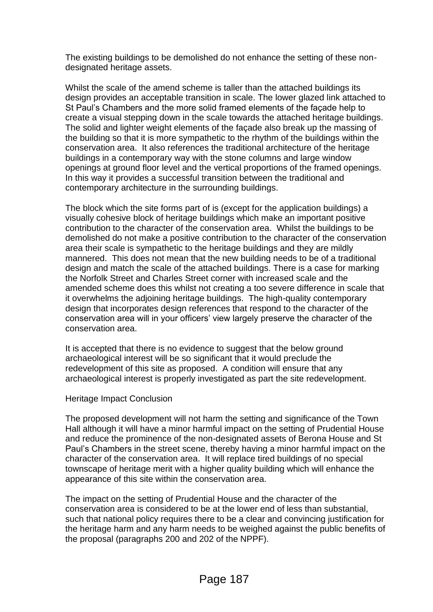The existing buildings to be demolished do not enhance the setting of these nondesignated heritage assets.

Whilst the scale of the amend scheme is taller than the attached buildings its design provides an acceptable transition in scale. The lower glazed link attached to St Paul's Chambers and the more solid framed elements of the façade help to create a visual stepping down in the scale towards the attached heritage buildings. The solid and lighter weight elements of the façade also break up the massing of the building so that it is more sympathetic to the rhythm of the buildings within the conservation area. It also references the traditional architecture of the heritage buildings in a contemporary way with the stone columns and large window openings at ground floor level and the vertical proportions of the framed openings. In this way it provides a successful transition between the traditional and contemporary architecture in the surrounding buildings.

The block which the site forms part of is (except for the application buildings) a visually cohesive block of heritage buildings which make an important positive contribution to the character of the conservation area. Whilst the buildings to be demolished do not make a positive contribution to the character of the conservation area their scale is sympathetic to the heritage buildings and they are mildly mannered. This does not mean that the new building needs to be of a traditional design and match the scale of the attached buildings. There is a case for marking the Norfolk Street and Charles Street corner with increased scale and the amended scheme does this whilst not creating a too severe difference in scale that it overwhelms the adjoining heritage buildings. The high-quality contemporary design that incorporates design references that respond to the character of the conservation area will in your officers' view largely preserve the character of the conservation area.

It is accepted that there is no evidence to suggest that the below ground archaeological interest will be so significant that it would preclude the redevelopment of this site as proposed. A condition will ensure that any archaeological interest is properly investigated as part the site redevelopment.

### Heritage Impact Conclusion

The proposed development will not harm the setting and significance of the Town Hall although it will have a minor harmful impact on the setting of Prudential House and reduce the prominence of the non-designated assets of Berona House and St Paul's Chambers in the street scene, thereby having a minor harmful impact on the character of the conservation area. It will replace tired buildings of no special townscape of heritage merit with a higher quality building which will enhance the appearance of this site within the conservation area.

The impact on the setting of Prudential House and the character of the conservation area is considered to be at the lower end of less than substantial, such that national policy requires there to be a clear and convincing justification for the heritage harm and any harm needs to be weighed against the public benefits of the proposal (paragraphs 200 and 202 of the NPPF).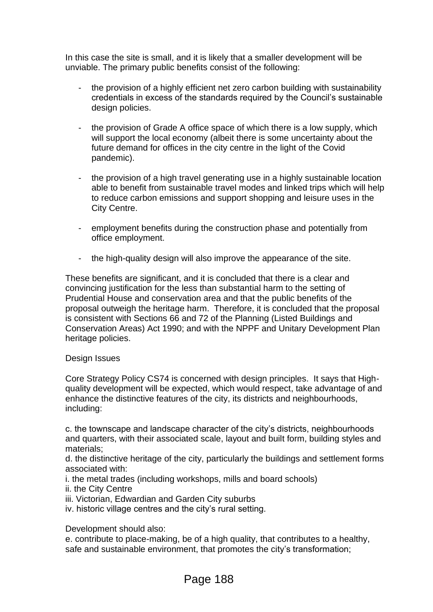In this case the site is small, and it is likely that a smaller development will be unviable. The primary public benefits consist of the following:

- the provision of a highly efficient net zero carbon building with sustainability credentials in excess of the standards required by the Council's sustainable design policies.
- the provision of Grade A office space of which there is a low supply, which will support the local economy (albeit there is some uncertainty about the future demand for offices in the city centre in the light of the Covid pandemic).
- the provision of a high travel generating use in a highly sustainable location able to benefit from sustainable travel modes and linked trips which will help to reduce carbon emissions and support shopping and leisure uses in the City Centre.
- employment benefits during the construction phase and potentially from office employment.
- the high-quality design will also improve the appearance of the site.

These benefits are significant, and it is concluded that there is a clear and convincing justification for the less than substantial harm to the setting of Prudential House and conservation area and that the public benefits of the proposal outweigh the heritage harm. Therefore, it is concluded that the proposal is consistent with Sections 66 and 72 of the Planning (Listed Buildings and Conservation Areas) Act 1990; and with the NPPF and Unitary Development Plan heritage policies.

### Design Issues

Core Strategy Policy CS74 is concerned with design principles. It says that Highquality development will be expected, which would respect, take advantage of and enhance the distinctive features of the city, its districts and neighbourhoods, including:

c. the townscape and landscape character of the city's districts, neighbourhoods and quarters, with their associated scale, layout and built form, building styles and materials;

d. the distinctive heritage of the city, particularly the buildings and settlement forms associated with:

- i. the metal trades (including workshops, mills and board schools)
- ii. the City Centre
- iii. Victorian, Edwardian and Garden City suburbs
- iv. historic village centres and the city's rural setting.

Development should also:

e. contribute to place-making, be of a high quality, that contributes to a healthy, safe and sustainable environment, that promotes the city's transformation;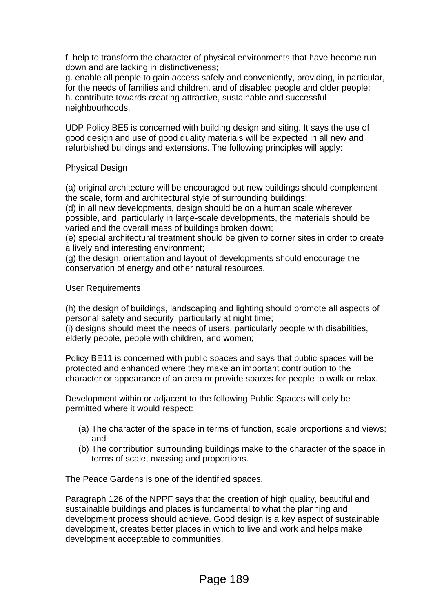f. help to transform the character of physical environments that have become run down and are lacking in distinctiveness;

g. enable all people to gain access safely and conveniently, providing, in particular, for the needs of families and children, and of disabled people and older people; h. contribute towards creating attractive, sustainable and successful neighbourhoods.

UDP Policy BE5 is concerned with building design and siting. It says the use of good design and use of good quality materials will be expected in all new and refurbished buildings and extensions. The following principles will apply:

# Physical Design

(a) original architecture will be encouraged but new buildings should complement the scale, form and architectural style of surrounding buildings;

(d) in all new developments, design should be on a human scale wherever possible, and, particularly in large-scale developments, the materials should be varied and the overall mass of buildings broken down;

(e) special architectural treatment should be given to corner sites in order to create a lively and interesting environment;

(g) the design, orientation and layout of developments should encourage the conservation of energy and other natural resources.

## User Requirements

(h) the design of buildings, landscaping and lighting should promote all aspects of personal safety and security, particularly at night time;

(i) designs should meet the needs of users, particularly people with disabilities, elderly people, people with children, and women;

Policy BE11 is concerned with public spaces and says that public spaces will be protected and enhanced where they make an important contribution to the character or appearance of an area or provide spaces for people to walk or relax.

Development within or adjacent to the following Public Spaces will only be permitted where it would respect:

- (a) The character of the space in terms of function, scale proportions and views; and
- (b) The contribution surrounding buildings make to the character of the space in terms of scale, massing and proportions.

The Peace Gardens is one of the identified spaces.

Paragraph 126 of the NPPF says that the creation of high quality, beautiful and sustainable buildings and places is fundamental to what the planning and development process should achieve. Good design is a key aspect of sustainable development, creates better places in which to live and work and helps make development acceptable to communities.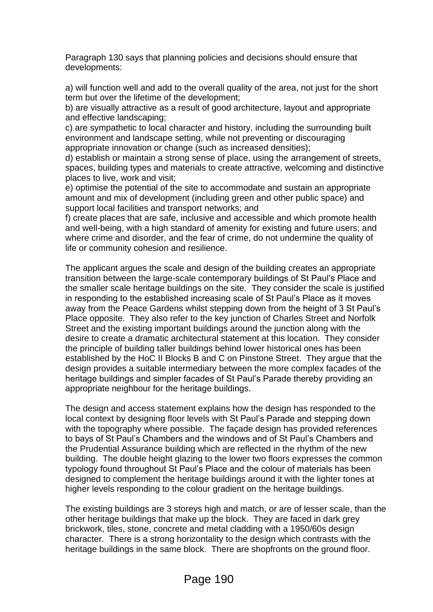Paragraph 130 says that planning policies and decisions should ensure that developments:

a) will function well and add to the overall quality of the area, not just for the short term but over the lifetime of the development;

b) are visually attractive as a result of good architecture, layout and appropriate and effective landscaping;

c) are sympathetic to local character and history, including the surrounding built environment and landscape setting, while not preventing or discouraging appropriate innovation or change (such as increased densities);

d) establish or maintain a strong sense of place, using the arrangement of streets, spaces, building types and materials to create attractive, welcoming and distinctive places to live, work and visit;

e) optimise the potential of the site to accommodate and sustain an appropriate amount and mix of development (including green and other public space) and support local facilities and transport networks; and

f) create places that are safe, inclusive and accessible and which promote health and well-being, with a high standard of amenity for existing and future users; and where crime and disorder, and the fear of crime, do not undermine the quality of life or community cohesion and resilience.

The applicant argues the scale and design of the building creates an appropriate transition between the large-scale contemporary buildings of St Paul's Place and the smaller scale heritage buildings on the site. They consider the scale is justified in responding to the established increasing scale of St Paul's Place as it moves away from the Peace Gardens whilst stepping down from the height of 3 St Paul's Place opposite. They also refer to the key junction of Charles Street and Norfolk Street and the existing important buildings around the junction along with the desire to create a dramatic architectural statement at this location. They consider the principle of building taller buildings behind lower historical ones has been established by the HoC II Blocks B and C on Pinstone Street. They argue that the design provides a suitable intermediary between the more complex facades of the heritage buildings and simpler facades of St Paul's Parade thereby providing an appropriate neighbour for the heritage buildings.

The design and access statement explains how the design has responded to the local context by designing floor levels with St Paul's Parade and stepping down with the topography where possible. The façade design has provided references to bays of St Paul's Chambers and the windows and of St Paul's Chambers and the Prudential Assurance building which are reflected in the rhythm of the new building. The double height glazing to the lower two floors expresses the common typology found throughout St Paul's Place and the colour of materials has been designed to complement the heritage buildings around it with the lighter tones at higher levels responding to the colour gradient on the heritage buildings.

The existing buildings are 3 storeys high and match, or are of lesser scale, than the other heritage buildings that make up the block. They are faced in dark grey brickwork, tiles, stone, concrete and metal cladding with a 1950/60s design character. There is a strong horizontality to the design which contrasts with the heritage buildings in the same block. There are shopfronts on the ground floor.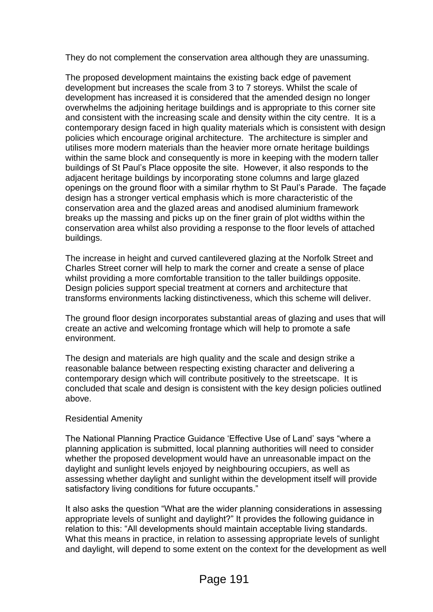They do not complement the conservation area although they are unassuming.

The proposed development maintains the existing back edge of pavement development but increases the scale from 3 to 7 storeys. Whilst the scale of development has increased it is considered that the amended design no longer overwhelms the adjoining heritage buildings and is appropriate to this corner site and consistent with the increasing scale and density within the city centre. It is a contemporary design faced in high quality materials which is consistent with design policies which encourage original architecture. The architecture is simpler and utilises more modern materials than the heavier more ornate heritage buildings within the same block and consequently is more in keeping with the modern taller buildings of St Paul's Place opposite the site. However, it also responds to the adjacent heritage buildings by incorporating stone columns and large glazed openings on the ground floor with a similar rhythm to St Paul's Parade. The façade design has a stronger vertical emphasis which is more characteristic of the conservation area and the glazed areas and anodised aluminium framework breaks up the massing and picks up on the finer grain of plot widths within the conservation area whilst also providing a response to the floor levels of attached buildings.

The increase in height and curved cantilevered glazing at the Norfolk Street and Charles Street corner will help to mark the corner and create a sense of place whilst providing a more comfortable transition to the taller buildings opposite. Design policies support special treatment at corners and architecture that transforms environments lacking distinctiveness, which this scheme will deliver.

The ground floor design incorporates substantial areas of glazing and uses that will create an active and welcoming frontage which will help to promote a safe environment.

The design and materials are high quality and the scale and design strike a reasonable balance between respecting existing character and delivering a contemporary design which will contribute positively to the streetscape. It is concluded that scale and design is consistent with the key design policies outlined above.

### Residential Amenity

The National Planning Practice Guidance 'Effective Use of Land' says "where a planning application is submitted, local planning authorities will need to consider whether the proposed development would have an unreasonable impact on the daylight and sunlight levels enjoyed by neighbouring occupiers, as well as assessing whether daylight and sunlight within the development itself will provide satisfactory living conditions for future occupants."

It also asks the question "What are the wider planning considerations in assessing appropriate levels of sunlight and daylight?" It provides the following guidance in relation to this: "All developments should maintain acceptable living standards. What this means in practice, in relation to assessing appropriate levels of sunlight and daylight, will depend to some extent on the context for the development as well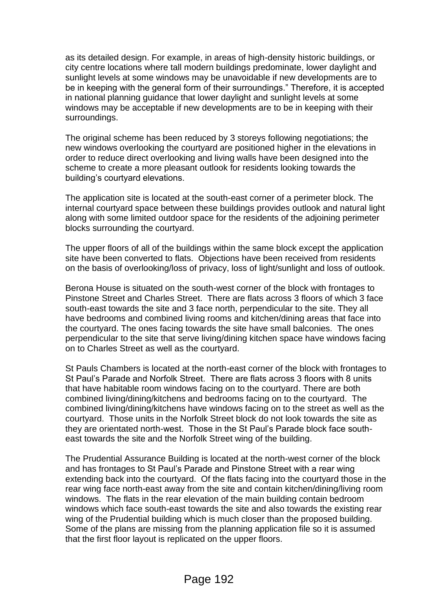as its detailed design. For example, in areas of high-density historic buildings, or city centre locations where tall modern buildings predominate, lower daylight and sunlight levels at some windows may be unavoidable if new developments are to be in keeping with the general form of their surroundings." Therefore, it is accepted in national planning guidance that lower daylight and sunlight levels at some windows may be acceptable if new developments are to be in keeping with their surroundings.

The original scheme has been reduced by 3 storeys following negotiations; the new windows overlooking the courtyard are positioned higher in the elevations in order to reduce direct overlooking and living walls have been designed into the scheme to create a more pleasant outlook for residents looking towards the building's courtyard elevations.

The application site is located at the south-east corner of a perimeter block. The internal courtyard space between these buildings provides outlook and natural light along with some limited outdoor space for the residents of the adjoining perimeter blocks surrounding the courtyard.

The upper floors of all of the buildings within the same block except the application site have been converted to flats. Objections have been received from residents on the basis of overlooking/loss of privacy, loss of light/sunlight and loss of outlook.

Berona House is situated on the south-west corner of the block with frontages to Pinstone Street and Charles Street. There are flats across 3 floors of which 3 face south-east towards the site and 3 face north, perpendicular to the site. They all have bedrooms and combined living rooms and kitchen/dining areas that face into the courtyard. The ones facing towards the site have small balconies. The ones perpendicular to the site that serve living/dining kitchen space have windows facing on to Charles Street as well as the courtyard.

St Pauls Chambers is located at the north-east corner of the block with frontages to St Paul's Parade and Norfolk Street. There are flats across 3 floors with 8 units that have habitable room windows facing on to the courtyard. There are both combined living/dining/kitchens and bedrooms facing on to the courtyard. The combined living/dining/kitchens have windows facing on to the street as well as the courtyard. Those units in the Norfolk Street block do not look towards the site as they are orientated north-west. Those in the St Paul's Parade block face southeast towards the site and the Norfolk Street wing of the building.

The Prudential Assurance Building is located at the north-west corner of the block and has frontages to St Paul's Parade and Pinstone Street with a rear wing extending back into the courtyard. Of the flats facing into the courtyard those in the rear wing face north-east away from the site and contain kitchen/dining/living room windows. The flats in the rear elevation of the main building contain bedroom windows which face south-east towards the site and also towards the existing rear wing of the Prudential building which is much closer than the proposed building. Some of the plans are missing from the planning application file so it is assumed that the first floor layout is replicated on the upper floors.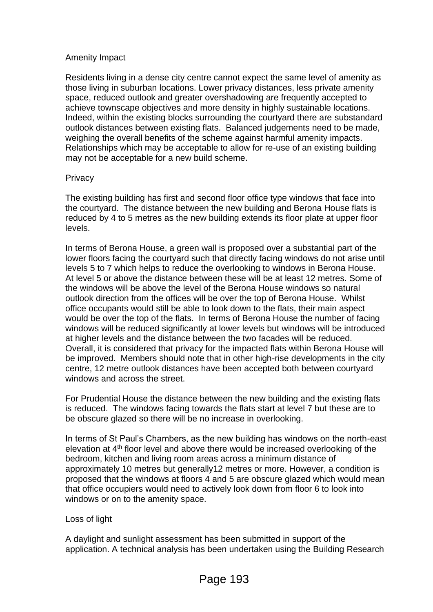## Amenity Impact

Residents living in a dense city centre cannot expect the same level of amenity as those living in suburban locations. Lower privacy distances, less private amenity space, reduced outlook and greater overshadowing are frequently accepted to achieve townscape objectives and more density in highly sustainable locations. Indeed, within the existing blocks surrounding the courtyard there are substandard outlook distances between existing flats. Balanced judgements need to be made, weighing the overall benefits of the scheme against harmful amenity impacts. Relationships which may be acceptable to allow for re-use of an existing building may not be acceptable for a new build scheme.

## **Privacy**

The existing building has first and second floor office type windows that face into the courtyard. The distance between the new building and Berona House flats is reduced by 4 to 5 metres as the new building extends its floor plate at upper floor levels.

In terms of Berona House, a green wall is proposed over a substantial part of the lower floors facing the courtyard such that directly facing windows do not arise until levels 5 to 7 which helps to reduce the overlooking to windows in Berona House. At level 5 or above the distance between these will be at least 12 metres. Some of the windows will be above the level of the Berona House windows so natural outlook direction from the offices will be over the top of Berona House. Whilst office occupants would still be able to look down to the flats, their main aspect would be over the top of the flats. In terms of Berona House the number of facing windows will be reduced significantly at lower levels but windows will be introduced at higher levels and the distance between the two facades will be reduced. Overall, it is considered that privacy for the impacted flats within Berona House will be improved. Members should note that in other high-rise developments in the city centre, 12 metre outlook distances have been accepted both between courtyard windows and across the street.

For Prudential House the distance between the new building and the existing flats is reduced. The windows facing towards the flats start at level 7 but these are to be obscure glazed so there will be no increase in overlooking.

In terms of St Paul's Chambers, as the new building has windows on the north-east elevation at 4th floor level and above there would be increased overlooking of the bedroom, kitchen and living room areas across a minimum distance of approximately 10 metres but generally12 metres or more. However, a condition is proposed that the windows at floors 4 and 5 are obscure glazed which would mean that office occupiers would need to actively look down from floor 6 to look into windows or on to the amenity space.

# Loss of light

A daylight and sunlight assessment has been submitted in support of the application. A technical analysis has been undertaken using the Building Research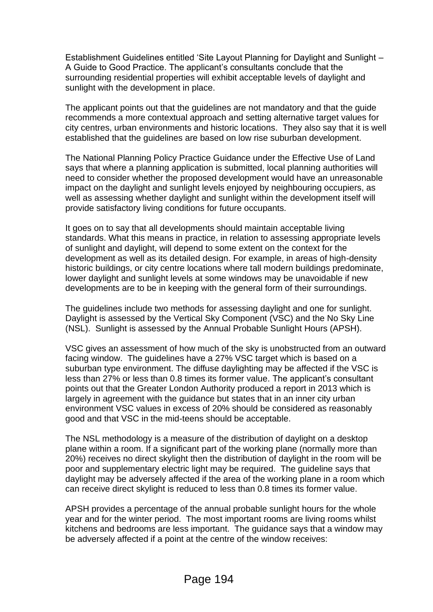Establishment Guidelines entitled 'Site Layout Planning for Daylight and Sunlight – A Guide to Good Practice. The applicant's consultants conclude that the surrounding residential properties will exhibit acceptable levels of daylight and sunlight with the development in place.

The applicant points out that the guidelines are not mandatory and that the guide recommends a more contextual approach and setting alternative target values for city centres, urban environments and historic locations. They also say that it is well established that the guidelines are based on low rise suburban development.

The National Planning Policy Practice Guidance under the Effective Use of Land says that where a planning application is submitted, local planning authorities will need to consider whether the proposed development would have an unreasonable impact on the daylight and sunlight levels enjoyed by neighbouring occupiers, as well as assessing whether daylight and sunlight within the development itself will provide satisfactory living conditions for future occupants.

It goes on to say that all developments should maintain acceptable living standards. What this means in practice, in relation to assessing appropriate levels of sunlight and daylight, will depend to some extent on the context for the development as well as its detailed design. For example, in areas of high-density historic buildings, or city centre locations where tall modern buildings predominate, lower daylight and sunlight levels at some windows may be unavoidable if new developments are to be in keeping with the general form of their surroundings.

The guidelines include two methods for assessing daylight and one for sunlight. Daylight is assessed by the Vertical Sky Component (VSC) and the No Sky Line (NSL). Sunlight is assessed by the Annual Probable Sunlight Hours (APSH).

VSC gives an assessment of how much of the sky is unobstructed from an outward facing window. The guidelines have a 27% VSC target which is based on a suburban type environment. The diffuse daylighting may be affected if the VSC is less than 27% or less than 0.8 times its former value. The applicant's consultant points out that the Greater London Authority produced a report in 2013 which is largely in agreement with the guidance but states that in an inner city urban environment VSC values in excess of 20% should be considered as reasonably good and that VSC in the mid-teens should be acceptable.

The NSL methodology is a measure of the distribution of daylight on a desktop plane within a room. If a significant part of the working plane (normally more than 20%) receives no direct skylight then the distribution of daylight in the room will be poor and supplementary electric light may be required. The guideline says that daylight may be adversely affected if the area of the working plane in a room which can receive direct skylight is reduced to less than 0.8 times its former value.

APSH provides a percentage of the annual probable sunlight hours for the whole year and for the winter period. The most important rooms are living rooms whilst kitchens and bedrooms are less important. The guidance says that a window may be adversely affected if a point at the centre of the window receives: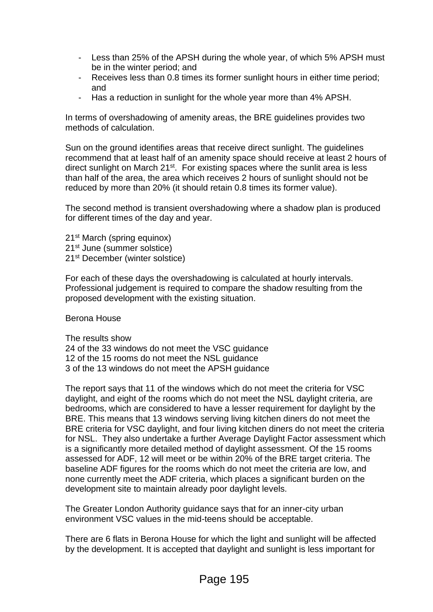- Less than 25% of the APSH during the whole year, of which 5% APSH must be in the winter period; and
- Receives less than 0.8 times its former sunlight hours in either time period; and
- Has a reduction in sunlight for the whole year more than 4% APSH.

In terms of overshadowing of amenity areas, the BRE guidelines provides two methods of calculation.

Sun on the ground identifies areas that receive direct sunlight. The guidelines recommend that at least half of an amenity space should receive at least 2 hours of direct sunlight on March 21<sup>st</sup>. For existing spaces where the sunlit area is less than half of the area, the area which receives 2 hours of sunlight should not be reduced by more than 20% (it should retain 0.8 times its former value).

The second method is transient overshadowing where a shadow plan is produced for different times of the day and year.

21<sup>st</sup> March (spring equinox) 21<sup>st</sup> June (summer solstice) 21st December (winter solstice)

For each of these days the overshadowing is calculated at hourly intervals. Professional judgement is required to compare the shadow resulting from the proposed development with the existing situation.

Berona House

The results show 24 of the 33 windows do not meet the VSC guidance 12 of the 15 rooms do not meet the NSL guidance 3 of the 13 windows do not meet the APSH guidance

The report says that 11 of the windows which do not meet the criteria for VSC daylight, and eight of the rooms which do not meet the NSL daylight criteria, are bedrooms, which are considered to have a lesser requirement for daylight by the BRE. This means that 13 windows serving living kitchen diners do not meet the BRE criteria for VSC daylight, and four living kitchen diners do not meet the criteria for NSL. They also undertake a further Average Daylight Factor assessment which is a significantly more detailed method of daylight assessment. Of the 15 rooms assessed for ADF, 12 will meet or be within 20% of the BRE target criteria. The baseline ADF figures for the rooms which do not meet the criteria are low, and none currently meet the ADF criteria, which places a significant burden on the development site to maintain already poor daylight levels.

The Greater London Authority guidance says that for an inner-city urban environment VSC values in the mid-teens should be acceptable.

There are 6 flats in Berona House for which the light and sunlight will be affected by the development. It is accepted that daylight and sunlight is less important for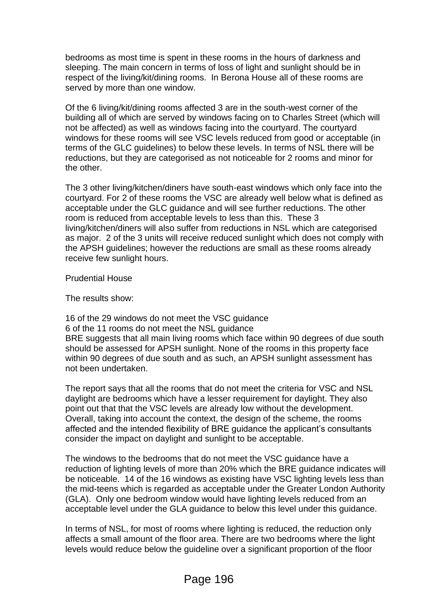bedrooms as most time is spent in these rooms in the hours of darkness and sleeping. The main concern in terms of loss of light and sunlight should be in respect of the living/kit/dining rooms. In Berona House all of these rooms are served by more than one window.

Of the 6 living/kit/dining rooms affected 3 are in the south-west corner of the building all of which are served by windows facing on to Charles Street (which will not be affected) as well as windows facing into the courtyard. The courtyard windows for these rooms will see VSC levels reduced from good or acceptable (in terms of the GLC guidelines) to below these levels. In terms of NSL there will be reductions, but they are categorised as not noticeable for 2 rooms and minor for the other.

The 3 other living/kitchen/diners have south-east windows which only face into the courtyard. For 2 of these rooms the VSC are already well below what is defined as acceptable under the GLC guidance and will see further reductions. The other room is reduced from acceptable levels to less than this. These 3 living/kitchen/diners will also suffer from reductions in NSL which are categorised as major. 2 of the 3 units will receive reduced sunlight which does not comply with the APSH guidelines; however the reductions are small as these rooms already receive few sunlight hours.

Prudential House

The results show:

16 of the 29 windows do not meet the VSC guidance 6 of the 11 rooms do not meet the NSL guidance BRE suggests that all main living rooms which face within 90 degrees of due south should be assessed for APSH sunlight. None of the rooms in this property face within 90 degrees of due south and as such, an APSH sunlight assessment has not been undertaken.

The report says that all the rooms that do not meet the criteria for VSC and NSL daylight are bedrooms which have a lesser requirement for daylight. They also point out that that the VSC levels are already low without the development. Overall, taking into account the context, the design of the scheme, the rooms affected and the intended flexibility of BRE guidance the applicant's consultants consider the impact on daylight and sunlight to be acceptable.

The windows to the bedrooms that do not meet the VSC guidance have a reduction of lighting levels of more than 20% which the BRE guidance indicates will be noticeable. 14 of the 16 windows as existing have VSC lighting levels less than the mid-teens which is regarded as acceptable under the Greater London Authority (GLA). Only one bedroom window would have lighting levels reduced from an acceptable level under the GLA guidance to below this level under this guidance.

In terms of NSL, for most of rooms where lighting is reduced, the reduction only affects a small amount of the floor area. There are two bedrooms where the light levels would reduce below the guideline over a significant proportion of the floor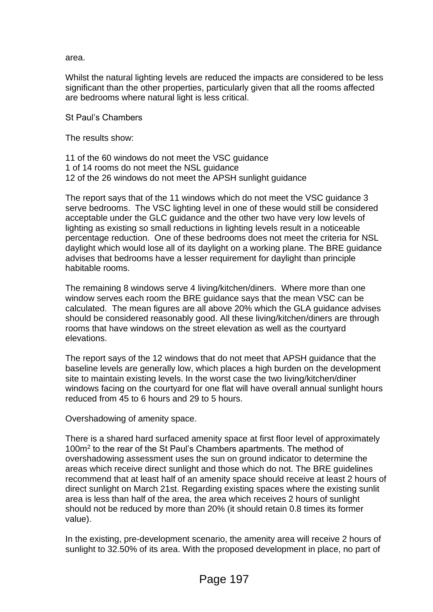area.

Whilst the natural lighting levels are reduced the impacts are considered to be less significant than the other properties, particularly given that all the rooms affected are bedrooms where natural light is less critical.

St Paul's Chambers

The results show:

11 of the 60 windows do not meet the VSC guidance 1 of 14 rooms do not meet the NSL guidance 12 of the 26 windows do not meet the APSH sunlight guidance

The report says that of the 11 windows which do not meet the VSC guidance 3 serve bedrooms. The VSC lighting level in one of these would still be considered acceptable under the GLC guidance and the other two have very low levels of lighting as existing so small reductions in lighting levels result in a noticeable percentage reduction. One of these bedrooms does not meet the criteria for NSL daylight which would lose all of its daylight on a working plane. The BRE guidance advises that bedrooms have a lesser requirement for daylight than principle habitable rooms.

The remaining 8 windows serve 4 living/kitchen/diners. Where more than one window serves each room the BRE guidance says that the mean VSC can be calculated. The mean figures are all above 20% which the GLA guidance advises should be considered reasonably good. All these living/kitchen/diners are through rooms that have windows on the street elevation as well as the courtyard elevations.

The report says of the 12 windows that do not meet that APSH guidance that the baseline levels are generally low, which places a high burden on the development site to maintain existing levels. In the worst case the two living/kitchen/diner windows facing on the courtyard for one flat will have overall annual sunlight hours reduced from 45 to 6 hours and 29 to 5 hours.

Overshadowing of amenity space.

There is a shared hard surfaced amenity space at first floor level of approximately 100m<sup>2</sup> to the rear of the St Paul's Chambers apartments. The method of overshadowing assessment uses the sun on ground indicator to determine the areas which receive direct sunlight and those which do not. The BRE guidelines recommend that at least half of an amenity space should receive at least 2 hours of direct sunlight on March 21st. Regarding existing spaces where the existing sunlit area is less than half of the area, the area which receives 2 hours of sunlight should not be reduced by more than 20% (it should retain 0.8 times its former value).

In the existing, pre-development scenario, the amenity area will receive 2 hours of sunlight to 32.50% of its area. With the proposed development in place, no part of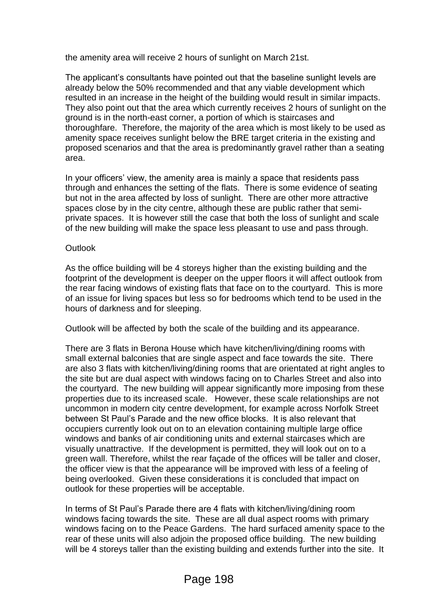the amenity area will receive 2 hours of sunlight on March 21st.

The applicant's consultants have pointed out that the baseline sunlight levels are already below the 50% recommended and that any viable development which resulted in an increase in the height of the building would result in similar impacts. They also point out that the area which currently receives 2 hours of sunlight on the ground is in the north-east corner, a portion of which is staircases and thoroughfare. Therefore, the majority of the area which is most likely to be used as amenity space receives sunlight below the BRE target criteria in the existing and proposed scenarios and that the area is predominantly gravel rather than a seating area.

In your officers' view, the amenity area is mainly a space that residents pass through and enhances the setting of the flats. There is some evidence of seating but not in the area affected by loss of sunlight. There are other more attractive spaces close by in the city centre, although these are public rather that semiprivate spaces. It is however still the case that both the loss of sunlight and scale of the new building will make the space less pleasant to use and pass through.

## **Outlook**

As the office building will be 4 storeys higher than the existing building and the footprint of the development is deeper on the upper floors it will affect outlook from the rear facing windows of existing flats that face on to the courtyard. This is more of an issue for living spaces but less so for bedrooms which tend to be used in the hours of darkness and for sleeping.

Outlook will be affected by both the scale of the building and its appearance.

There are 3 flats in Berona House which have kitchen/living/dining rooms with small external balconies that are single aspect and face towards the site. There are also 3 flats with kitchen/living/dining rooms that are orientated at right angles to the site but are dual aspect with windows facing on to Charles Street and also into the courtyard. The new building will appear significantly more imposing from these properties due to its increased scale. However, these scale relationships are not uncommon in modern city centre development, for example across Norfolk Street between St Paul's Parade and the new office blocks. It is also relevant that occupiers currently look out on to an elevation containing multiple large office windows and banks of air conditioning units and external staircases which are visually unattractive. If the development is permitted, they will look out on to a green wall. Therefore, whilst the rear façade of the offices will be taller and closer, the officer view is that the appearance will be improved with less of a feeling of being overlooked. Given these considerations it is concluded that impact on outlook for these properties will be acceptable.

In terms of St Paul's Parade there are 4 flats with kitchen/living/dining room windows facing towards the site. These are all dual aspect rooms with primary windows facing on to the Peace Gardens. The hard surfaced amenity space to the rear of these units will also adjoin the proposed office building. The new building will be 4 storeys taller than the existing building and extends further into the site. It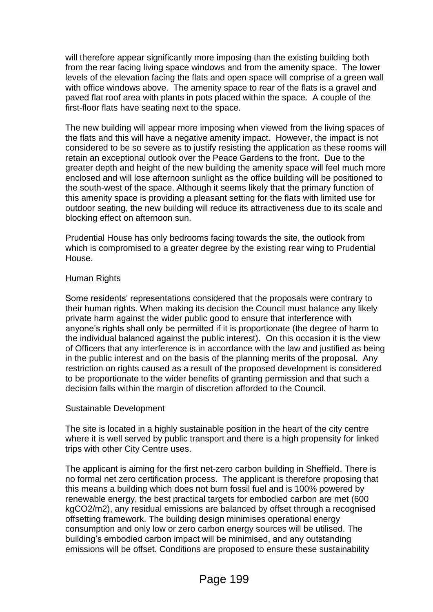will therefore appear significantly more imposing than the existing building both from the rear facing living space windows and from the amenity space. The lower levels of the elevation facing the flats and open space will comprise of a green wall with office windows above. The amenity space to rear of the flats is a gravel and paved flat roof area with plants in pots placed within the space. A couple of the first-floor flats have seating next to the space.

The new building will appear more imposing when viewed from the living spaces of the flats and this will have a negative amenity impact. However, the impact is not considered to be so severe as to justify resisting the application as these rooms will retain an exceptional outlook over the Peace Gardens to the front. Due to the greater depth and height of the new building the amenity space will feel much more enclosed and will lose afternoon sunlight as the office building will be positioned to the south-west of the space. Although it seems likely that the primary function of this amenity space is providing a pleasant setting for the flats with limited use for outdoor seating, the new building will reduce its attractiveness due to its scale and blocking effect on afternoon sun.

Prudential House has only bedrooms facing towards the site, the outlook from which is compromised to a greater degree by the existing rear wing to Prudential House.

### Human Rights

Some residents' representations considered that the proposals were contrary to their human rights. When making its decision the Council must balance any likely private harm against the wider public good to ensure that interference with anyone's rights shall only be permitted if it is proportionate (the degree of harm to the individual balanced against the public interest). On this occasion it is the view of Officers that any interference is in accordance with the law and justified as being in the public interest and on the basis of the planning merits of the proposal. Any restriction on rights caused as a result of the proposed development is considered to be proportionate to the wider benefits of granting permission and that such a decision falls within the margin of discretion afforded to the Council.

### Sustainable Development

The site is located in a highly sustainable position in the heart of the city centre where it is well served by public transport and there is a high propensity for linked trips with other City Centre uses.

The applicant is aiming for the first net-zero carbon building in Sheffield. There is no formal net zero certification process. The applicant is therefore proposing that this means a building which does not burn fossil fuel and is 100% powered by renewable energy, the best practical targets for embodied carbon are met (600 kgCO2/m2), any residual emissions are balanced by offset through a recognised offsetting framework. The building design minimises operational energy consumption and only low or zero carbon energy sources will be utilised. The building's embodied carbon impact will be minimised, and any outstanding emissions will be offset. Conditions are proposed to ensure these sustainability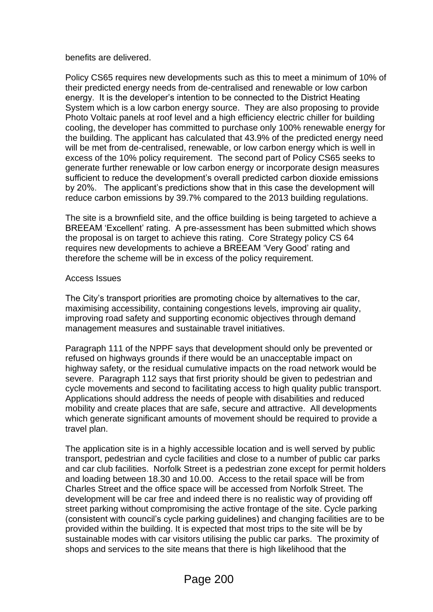#### benefits are delivered.

Policy CS65 requires new developments such as this to meet a minimum of 10% of their predicted energy needs from de-centralised and renewable or low carbon energy. It is the developer's intention to be connected to the District Heating System which is a low carbon energy source. They are also proposing to provide Photo Voltaic panels at roof level and a high efficiency electric chiller for building cooling, the developer has committed to purchase only 100% renewable energy for the building. The applicant has calculated that 43.9% of the predicted energy need will be met from de-centralised, renewable, or low carbon energy which is well in excess of the 10% policy requirement. The second part of Policy CS65 seeks to generate further renewable or low carbon energy or incorporate design measures sufficient to reduce the development's overall predicted carbon dioxide emissions by 20%. The applicant's predictions show that in this case the development will reduce carbon emissions by 39.7% compared to the 2013 building regulations.

The site is a brownfield site, and the office building is being targeted to achieve a BREEAM 'Excellent' rating. A pre-assessment has been submitted which shows the proposal is on target to achieve this rating. Core Strategy policy CS 64 requires new developments to achieve a BREEAM 'Very Good' rating and therefore the scheme will be in excess of the policy requirement.

#### Access Issues

The City's transport priorities are promoting choice by alternatives to the car, maximising accessibility, containing congestions levels, improving air quality, improving road safety and supporting economic objectives through demand management measures and sustainable travel initiatives.

Paragraph 111 of the NPPF says that development should only be prevented or refused on highways grounds if there would be an unacceptable impact on highway safety, or the residual cumulative impacts on the road network would be severe. Paragraph 112 says that first priority should be given to pedestrian and cycle movements and second to facilitating access to high quality public transport. Applications should address the needs of people with disabilities and reduced mobility and create places that are safe, secure and attractive. All developments which generate significant amounts of movement should be required to provide a travel plan.

The application site is in a highly accessible location and is well served by public transport, pedestrian and cycle facilities and close to a number of public car parks and car club facilities. Norfolk Street is a pedestrian zone except for permit holders and loading between 18.30 and 10.00. Access to the retail space will be from Charles Street and the office space will be accessed from Norfolk Street. The development will be car free and indeed there is no realistic way of providing off street parking without compromising the active frontage of the site. Cycle parking (consistent with council's cycle parking guidelines) and changing facilities are to be provided within the building. It is expected that most trips to the site will be by sustainable modes with car visitors utilising the public car parks. The proximity of shops and services to the site means that there is high likelihood that the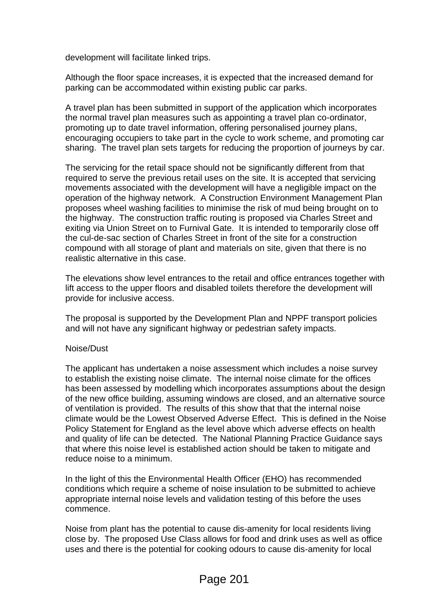development will facilitate linked trips.

Although the floor space increases, it is expected that the increased demand for parking can be accommodated within existing public car parks.

A travel plan has been submitted in support of the application which incorporates the normal travel plan measures such as appointing a travel plan co-ordinator, promoting up to date travel information, offering personalised journey plans, encouraging occupiers to take part in the cycle to work scheme, and promoting car sharing. The travel plan sets targets for reducing the proportion of journeys by car.

The servicing for the retail space should not be significantly different from that required to serve the previous retail uses on the site. It is accepted that servicing movements associated with the development will have a negligible impact on the operation of the highway network. A Construction Environment Management Plan proposes wheel washing facilities to minimise the risk of mud being brought on to the highway. The construction traffic routing is proposed via Charles Street and exiting via Union Street on to Furnival Gate. It is intended to temporarily close off the cul-de-sac section of Charles Street in front of the site for a construction compound with all storage of plant and materials on site, given that there is no realistic alternative in this case.

The elevations show level entrances to the retail and office entrances together with lift access to the upper floors and disabled toilets therefore the development will provide for inclusive access.

The proposal is supported by the Development Plan and NPPF transport policies and will not have any significant highway or pedestrian safety impacts.

### Noise/Dust

The applicant has undertaken a noise assessment which includes a noise survey to establish the existing noise climate. The internal noise climate for the offices has been assessed by modelling which incorporates assumptions about the design of the new office building, assuming windows are closed, and an alternative source of ventilation is provided. The results of this show that that the internal noise climate would be the Lowest Observed Adverse Effect. This is defined in the Noise Policy Statement for England as the level above which adverse effects on health and quality of life can be detected. The National Planning Practice Guidance says that where this noise level is established action should be taken to mitigate and reduce noise to a minimum.

In the light of this the Environmental Health Officer (EHO) has recommended conditions which require a scheme of noise insulation to be submitted to achieve appropriate internal noise levels and validation testing of this before the uses commence.

Noise from plant has the potential to cause dis-amenity for local residents living close by. The proposed Use Class allows for food and drink uses as well as office uses and there is the potential for cooking odours to cause dis-amenity for local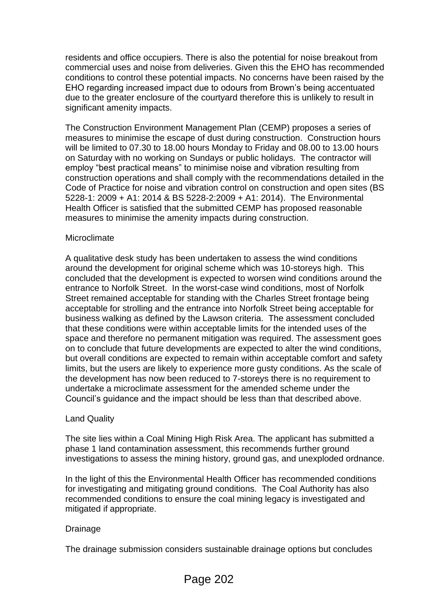residents and office occupiers. There is also the potential for noise breakout from commercial uses and noise from deliveries. Given this the EHO has recommended conditions to control these potential impacts. No concerns have been raised by the EHO regarding increased impact due to odours from Brown's being accentuated due to the greater enclosure of the courtyard therefore this is unlikely to result in significant amenity impacts.

The Construction Environment Management Plan (CEMP) proposes a series of measures to minimise the escape of dust during construction. Construction hours will be limited to 07.30 to 18.00 hours Monday to Friday and 08.00 to 13.00 hours on Saturday with no working on Sundays or public holidays. The contractor will employ "best practical means" to minimise noise and vibration resulting from construction operations and shall comply with the recommendations detailed in the Code of Practice for noise and vibration control on construction and open sites (BS 5228-1: 2009 + A1: 2014 & BS 5228-2:2009 + A1: 2014). The Environmental Health Officer is satisfied that the submitted CEMP has proposed reasonable measures to minimise the amenity impacts during construction.

### **Microclimate**

A qualitative desk study has been undertaken to assess the wind conditions around the development for original scheme which was 10-storeys high. This concluded that the development is expected to worsen wind conditions around the entrance to Norfolk Street. In the worst-case wind conditions, most of Norfolk Street remained acceptable for standing with the Charles Street frontage being acceptable for strolling and the entrance into Norfolk Street being acceptable for business walking as defined by the Lawson criteria. The assessment concluded that these conditions were within acceptable limits for the intended uses of the space and therefore no permanent mitigation was required. The assessment goes on to conclude that future developments are expected to alter the wind conditions, but overall conditions are expected to remain within acceptable comfort and safety limits, but the users are likely to experience more gusty conditions. As the scale of the development has now been reduced to 7-storeys there is no requirement to undertake a microclimate assessment for the amended scheme under the Council's guidance and the impact should be less than that described above.

## Land Quality

The site lies within a Coal Mining High Risk Area. The applicant has submitted a phase 1 land contamination assessment, this recommends further ground investigations to assess the mining history, ground gas, and unexploded ordnance.

In the light of this the Environmental Health Officer has recommended conditions for investigating and mitigating ground conditions. The Coal Authority has also recommended conditions to ensure the coal mining legacy is investigated and mitigated if appropriate.

### Drainage

The drainage submission considers sustainable drainage options but concludes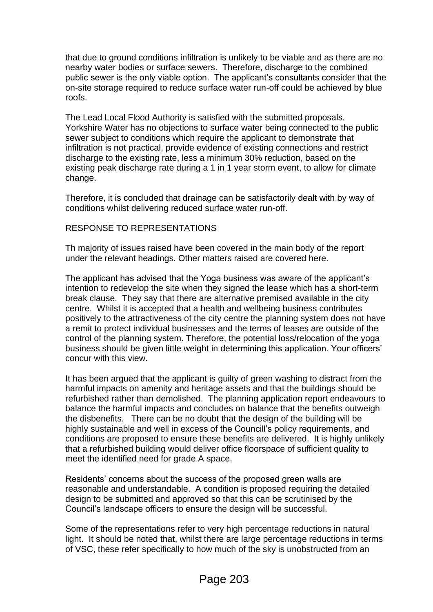that due to ground conditions infiltration is unlikely to be viable and as there are no nearby water bodies or surface sewers. Therefore, discharge to the combined public sewer is the only viable option. The applicant's consultants consider that the on-site storage required to reduce surface water run-off could be achieved by blue roofs.

The Lead Local Flood Authority is satisfied with the submitted proposals. Yorkshire Water has no objections to surface water being connected to the public sewer subject to conditions which require the applicant to demonstrate that infiltration is not practical, provide evidence of existing connections and restrict discharge to the existing rate, less a minimum 30% reduction, based on the existing peak discharge rate during a 1 in 1 year storm event, to allow for climate change.

Therefore, it is concluded that drainage can be satisfactorily dealt with by way of conditions whilst delivering reduced surface water run-off.

# RESPONSE TO REPRESENTATIONS

Th majority of issues raised have been covered in the main body of the report under the relevant headings. Other matters raised are covered here.

The applicant has advised that the Yoga business was aware of the applicant's intention to redevelop the site when they signed the lease which has a short-term break clause. They say that there are alternative premised available in the city centre. Whilst it is accepted that a health and wellbeing business contributes positively to the attractiveness of the city centre the planning system does not have a remit to protect individual businesses and the terms of leases are outside of the control of the planning system. Therefore, the potential loss/relocation of the yoga business should be given little weight in determining this application. Your officers' concur with this view.

It has been argued that the applicant is guilty of green washing to distract from the harmful impacts on amenity and heritage assets and that the buildings should be refurbished rather than demolished. The planning application report endeavours to balance the harmful impacts and concludes on balance that the benefits outweigh the disbenefits. There can be no doubt that the design of the building will be highly sustainable and well in excess of the Councill's policy requirements, and conditions are proposed to ensure these benefits are delivered. It is highly unlikely that a refurbished building would deliver office floorspace of sufficient quality to meet the identified need for grade A space.

Residents' concerns about the success of the proposed green walls are reasonable and understandable. A condition is proposed requiring the detailed design to be submitted and approved so that this can be scrutinised by the Council's landscape officers to ensure the design will be successful.

Some of the representations refer to very high percentage reductions in natural light. It should be noted that, whilst there are large percentage reductions in terms of VSC, these refer specifically to how much of the sky is unobstructed from an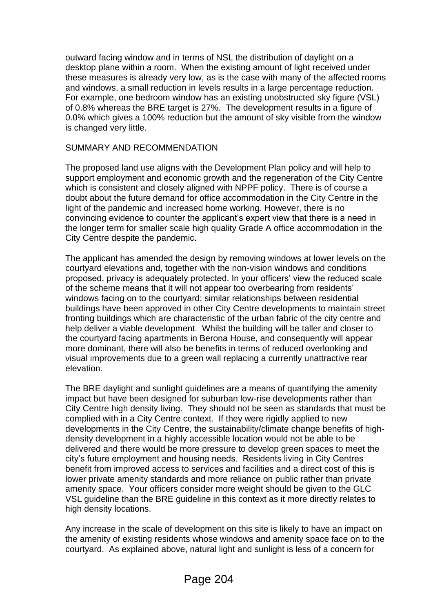outward facing window and in terms of NSL the distribution of daylight on a desktop plane within a room. When the existing amount of light received under these measures is already very low, as is the case with many of the affected rooms and windows, a small reduction in levels results in a large percentage reduction. For example, one bedroom window has an existing unobstructed sky figure (VSL) of 0.8% whereas the BRE target is 27%. The development results in a figure of 0.0% which gives a 100% reduction but the amount of sky visible from the window is changed very little.

## SUMMARY AND RECOMMENDATION

The proposed land use aligns with the Development Plan policy and will help to support employment and economic growth and the regeneration of the City Centre which is consistent and closely aligned with NPPF policy. There is of course a doubt about the future demand for office accommodation in the City Centre in the light of the pandemic and increased home working. However, there is no convincing evidence to counter the applicant's expert view that there is a need in the longer term for smaller scale high quality Grade A office accommodation in the City Centre despite the pandemic.

The applicant has amended the design by removing windows at lower levels on the courtyard elevations and, together with the non-vision windows and conditions proposed, privacy is adequately protected. In your officers' view the reduced scale of the scheme means that it will not appear too overbearing from residents' windows facing on to the courtyard; similar relationships between residential buildings have been approved in other City Centre developments to maintain street fronting buildings which are characteristic of the urban fabric of the city centre and help deliver a viable development. Whilst the building will be taller and closer to the courtyard facing apartments in Berona House, and consequently will appear more dominant, there will also be benefits in terms of reduced overlooking and visual improvements due to a green wall replacing a currently unattractive rear elevation.

The BRE daylight and sunlight guidelines are a means of quantifying the amenity impact but have been designed for suburban low-rise developments rather than City Centre high density living. They should not be seen as standards that must be complied with in a City Centre context. If they were rigidly applied to new developments in the City Centre, the sustainability/climate change benefits of highdensity development in a highly accessible location would not be able to be delivered and there would be more pressure to develop green spaces to meet the city's future employment and housing needs. Residents living in City Centres benefit from improved access to services and facilities and a direct cost of this is lower private amenity standards and more reliance on public rather than private amenity space. Your officers consider more weight should be given to the GLC VSL guideline than the BRE guideline in this context as it more directly relates to high density locations.

Any increase in the scale of development on this site is likely to have an impact on the amenity of existing residents whose windows and amenity space face on to the courtyard. As explained above, natural light and sunlight is less of a concern for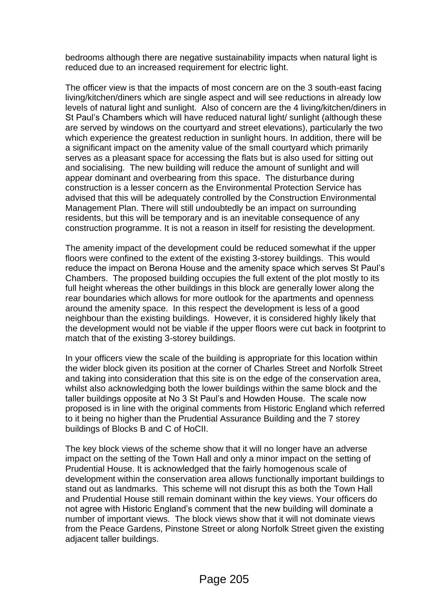bedrooms although there are negative sustainability impacts when natural light is reduced due to an increased requirement for electric light.

The officer view is that the impacts of most concern are on the 3 south-east facing living/kitchen/diners which are single aspect and will see reductions in already low levels of natural light and sunlight. Also of concern are the 4 living/kitchen/diners in St Paul's Chambers which will have reduced natural light/ sunlight (although these are served by windows on the courtyard and street elevations), particularly the two which experience the greatest reduction in sunlight hours. In addition, there will be a significant impact on the amenity value of the small courtyard which primarily serves as a pleasant space for accessing the flats but is also used for sitting out and socialising. The new building will reduce the amount of sunlight and will appear dominant and overbearing from this space. The disturbance during construction is a lesser concern as the Environmental Protection Service has advised that this will be adequately controlled by the Construction Environmental Management Plan. There will still undoubtedly be an impact on surrounding residents, but this will be temporary and is an inevitable consequence of any construction programme. It is not a reason in itself for resisting the development.

The amenity impact of the development could be reduced somewhat if the upper floors were confined to the extent of the existing 3-storey buildings. This would reduce the impact on Berona House and the amenity space which serves St Paul's Chambers. The proposed building occupies the full extent of the plot mostly to its full height whereas the other buildings in this block are generally lower along the rear boundaries which allows for more outlook for the apartments and openness around the amenity space. In this respect the development is less of a good neighbour than the existing buildings. However, it is considered highly likely that the development would not be viable if the upper floors were cut back in footprint to match that of the existing 3-storey buildings.

In your officers view the scale of the building is appropriate for this location within the wider block given its position at the corner of Charles Street and Norfolk Street and taking into consideration that this site is on the edge of the conservation area, whilst also acknowledging both the lower buildings within the same block and the taller buildings opposite at No 3 St Paul's and Howden House. The scale now proposed is in line with the original comments from Historic England which referred to it being no higher than the Prudential Assurance Building and the 7 storey buildings of Blocks B and C of HoCII.

The key block views of the scheme show that it will no longer have an adverse impact on the setting of the Town Hall and only a minor impact on the setting of Prudential House. It is acknowledged that the fairly homogenous scale of development within the conservation area allows functionally important buildings to stand out as landmarks. This scheme will not disrupt this as both the Town Hall and Prudential House still remain dominant within the key views. Your officers do not agree with Historic England's comment that the new building will dominate a number of important views. The block views show that it will not dominate views from the Peace Gardens, Pinstone Street or along Norfolk Street given the existing adjacent taller buildings.